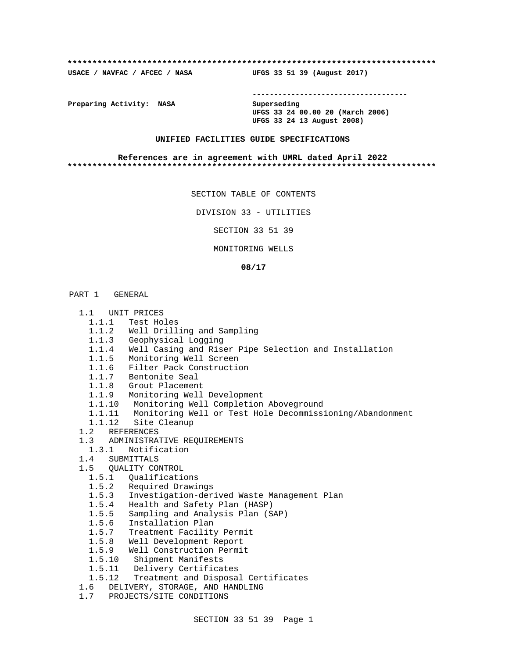### **\*\*\*\*\*\*\*\*\*\*\*\*\*\*\*\*\*\*\*\*\*\*\*\*\*\*\*\*\*\*\*\*\*\*\*\*\*\*\*\*\*\*\*\*\*\*\*\*\*\*\*\*\*\*\*\*\*\*\*\*\*\*\*\*\*\*\*\*\*\*\*\*\*\***

**USACE / NAVFAC / AFCEC / NASA UFGS 33 51 39 (August 2017)**

**------------------------------------**

**Preparing Activity: NASA Superseding**

**UFGS 33 24 00.00 20 (March 2006) UFGS 33 24 13 August 2008)**

# **UNIFIED FACILITIES GUIDE SPECIFICATIONS**

## **References are in agreement with UMRL dated April 2022 \*\*\*\*\*\*\*\*\*\*\*\*\*\*\*\*\*\*\*\*\*\*\*\*\*\*\*\*\*\*\*\*\*\*\*\*\*\*\*\*\*\*\*\*\*\*\*\*\*\*\*\*\*\*\*\*\*\*\*\*\*\*\*\*\*\*\*\*\*\*\*\*\*\***

SECTION TABLE OF CONTENTS

DIVISION 33 - UTILITIES

SECTION 33 51 39

MONITORING WELLS

### **08/17**

## PART 1 GENERAL

- 1.1 UNIT PRICES
	- 1.1.1 Test Holes
	- 1.1.2 Well Drilling and Sampling
	- 1.1.3 Geophysical Logging
	- 1.1.4 Well Casing and Riser Pipe Selection and Installation
	- 1.1.5 Monitoring Well Screen
	- 1.1.6 Filter Pack Construction
	- 1.1.7 Bentonite Seal
	- 1.1.8 Grout Placement
	- 1.1.9 Monitoring Well Development
	- 1.1.10 Monitoring Well Completion Aboveground
	- 1.1.11 Monitoring Well or Test Hole Decommissioning/Abandonment
	- 1.1.12 Site Cleanup
- 1.2 REFERENCES
- 1.3 ADMINISTRATIVE REQUIREMENTS
- 1.3.1 Notification
- 1.4 SUBMITTALS
- 1.5 QUALITY CONTROL
	- 1.5.1 Qualifications
	- 1.5.2 Required Drawings
- 1.5.3 Investigation-derived Waste Management Plan
- 1.5.4 Health and Safety Plan (HASP)
	- 1.5.5 Sampling and Analysis Plan (SAP)
	- 1.5.6 Installation Plan
	- 1.5.7 Treatment Facility Permit
	- 1.5.8 Well Development Report
	- 1.5.9 Well Construction Permit
	- 1.5.10 Shipment Manifests
	- 1.5.11 Delivery Certificates
	- 1.5.12 Treatment and Disposal Certificates
	- 1.6 DELIVERY, STORAGE, AND HANDLING
	- 1.7 PROJECTS/SITE CONDITIONS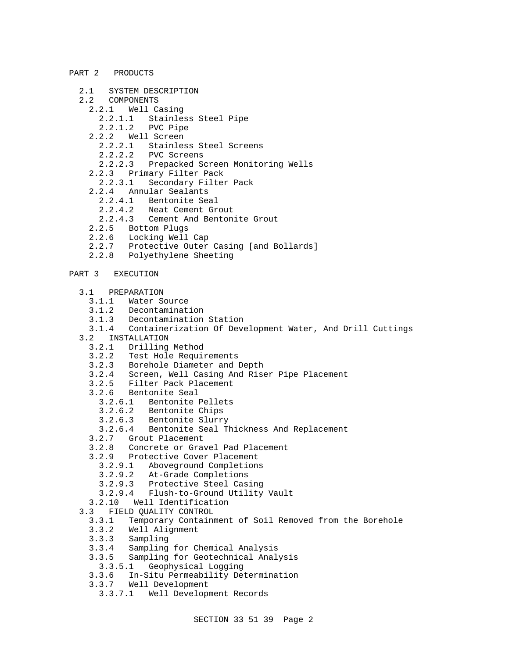- PART 2 PRODUCTS
	- 2.1 SYSTEM DESCRIPTION
	- 2.2 COMPONENTS
	- 2.2.1 Well Casing
		- 2.2.1.1 Stainless Steel Pipe
		- 2.2.1.2 PVC Pipe
	- 2.2.2 Well Screen
		- 2.2.2.1 Stainless Steel Screens
		- 2.2.2.2 PVC Screens
	- 2.2.2.3 Prepacked Screen Monitoring Wells
	- 2.2.3 Primary Filter Pack
	- 2.2.3.1 Secondary Filter Pack
	- 2.2.4 Annular Sealants
		- 2.2.4.1 Bentonite Seal
		- 2.2.4.2 Neat Cement Grout
		- 2.2.4.3 Cement And Bentonite Grout
	- 2.2.5 Bottom Plugs
	- 2.2.6 Locking Well Cap
	- 2.2.7 Protective Outer Casing [and Bollards]
	- 2.2.8 Polyethylene Sheeting

## PART 3 EXECUTION

- 3.1 PREPARATION
	- 3.1.1 Water Source
	- 3.1.2 Decontamination
	- 3.1.3 Decontamination Station
- Containerization Of Development Water, And Drill Cuttings
- 3.2 INSTALLATION
	- 3.2.1 Drilling Method
	- 3.2.2 Test Hole Requirements
	- 3.2.3 Borehole Diameter and Depth
	- 3.2.4 Screen, Well Casing And Riser Pipe Placement
	- 3.2.5 Filter Pack Placement
	- 3.2.6 Bentonite Seal
		- 3.2.6.1 Bentonite Pellets
		- 3.2.6.2 Bentonite Chips
		- 3.2.6.3 Bentonite Slurry
		- 3.2.6.4 Bentonite Seal Thickness And Replacement
	- 3.2.7 Grout Placement
	- 3.2.8 Concrete or Gravel Pad Placement
	- 3.2.9 Protective Cover Placement
		- 3.2.9.1 Aboveground Completions
		- 3.2.9.2 At-Grade Completions
		- 3.2.9.3 Protective Steel Casing
		- 3.2.9.4 Flush-to-Ground Utility Vault
	- 3.2.10 Well Identification
- 3.3 FIELD QUALITY CONTROL<br>3.3.1 Temporary Contain
	- Temporary Containment of Soil Removed from the Borehole
	- 3.3.2 Well Alignment
	- 3.3.3 Sampling
	- 3.3.4 Sampling for Chemical Analysis
	- 3.3.5 Sampling for Geotechnical Analysis
	- 3.3.5.1 Geophysical Logging
	- 3.3.6 In-Situ Permeability Determination
	- 3.3.7 Well Development
		- 3.3.7.1 Well Development Records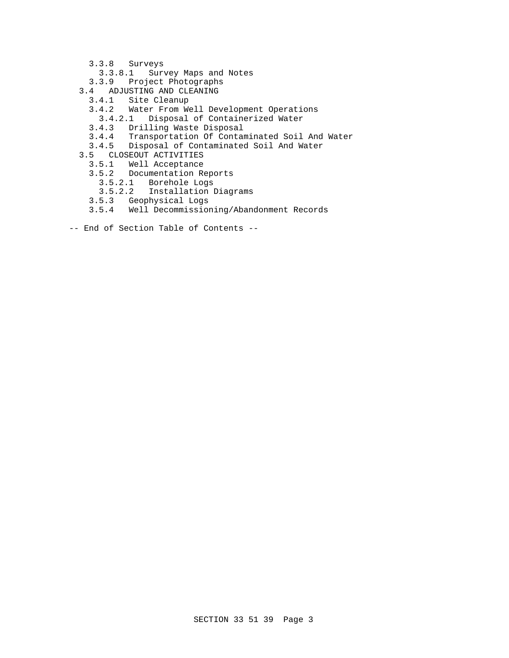- 3.3.8 Surveys
	- 3.3.8.1 Survey Maps and Notes
- 3.3.9 Project Photographs
- 3.4 ADJUSTING AND CLEANING
	- 3.4.1 Site Cleanup
	- 3.4.2 Water From Well Development Operations
	- 3.4.2.1 Disposal of Containerized Water
	- 3.4.3 Drilling Waste Disposal
	- 3.4.4 Transportation Of Contaminated Soil And Water
	- Disposal of Contaminated Soil And Water
- 3.5 CLOSEOUT ACTIVITIES
	- 3.5.1 Well Acceptance
	- 3.5.2 Documentation Reports
		- 3.5.2.1 Borehole Logs
	- 3.5.2.2 Installation Diagrams
	- 3.5.3 Geophysical Logs
	- 3.5.4 Well Decommissioning/Abandonment Records
- -- End of Section Table of Contents --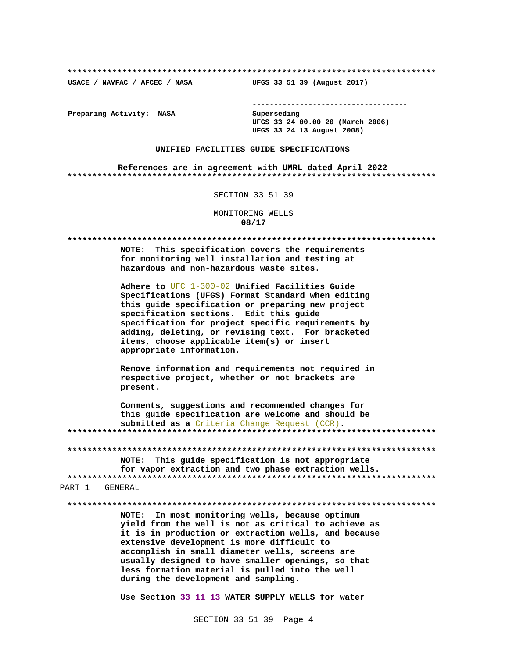USACE / NAVFAC / AFCEC / NASA

--------------------------------------

Preparing Activity: NASA

Superseding UFGS 33 24 00.00 20 (March 2006) UFGS 33 24 13 August 2008)

UFGS 33 51 39 (August 2017)

## UNIFIED FACILITIES GUIDE SPECIFICATIONS

References are in agreement with UMRL dated April 2022 

SECTION 33 51 39

MONITORING WELLS 08/17

NOTE: This specification covers the requirements for monitoring well installation and testing at hazardous and non-hazardous waste sites. Adhere to UFC 1-300-02 Unified Facilities Guide Specifications (UFGS) Format Standard when editing this quide specification or preparing new project specification sections. Edit this guide specification for project specific requirements by adding, deleting, or revising text. For bracketed items, choose applicable item(s) or insert appropriate information. Remove information and requirements not required in respective project, whether or not brackets are present. Comments, suggestions and recommended changes for this quide specification are welcome and should be submitted as a Criteria Change Request (CCR). NOTE: This guide specification is not appropriate for vapor extraction and two phase extraction wells. PART 1 GENERAL NOTE: In most monitoring wells, because optimum yield from the well is not as critical to achieve as it is in production or extraction wells, and because extensive development is more difficult to accomplish in small diameter wells, screens are usually designed to have smaller openings, so that less formation material is pulled into the well during the development and sampling.

Use Section 33 11 13 WATER SUPPLY WELLS for water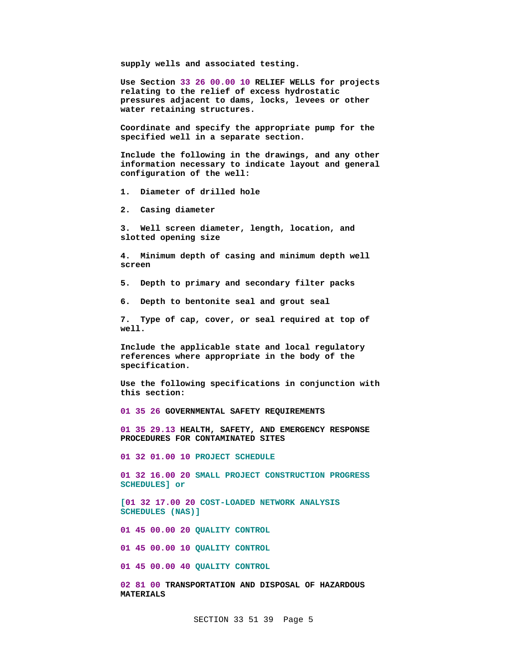**supply wells and associated testing.**

**Use Section 33 26 00.00 10 RELIEF WELLS for projects relating to the relief of excess hydrostatic pressures adjacent to dams, locks, levees or other water retaining structures.**

**Coordinate and specify the appropriate pump for the specified well in a separate section.**

**Include the following in the drawings, and any other information necessary to indicate layout and general configuration of the well:**

**1. Diameter of drilled hole**

**2. Casing diameter**

**3. Well screen diameter, length, location, and slotted opening size**

**4. Minimum depth of casing and minimum depth well screen**

**5. Depth to primary and secondary filter packs**

**6. Depth to bentonite seal and grout seal**

**7. Type of cap, cover, or seal required at top of well.**

**Include the applicable state and local regulatory references where appropriate in the body of the specification.**

**Use the following specifications in conjunction with this section:**

**01 35 26 GOVERNMENTAL SAFETY REQUIREMENTS**

**01 35 29.13 HEALTH, SAFETY, AND EMERGENCY RESPONSE PROCEDURES FOR CONTAMINATED SITES**

**01 32 01.00 10 PROJECT SCHEDULE**

**01 32 16.00 20 SMALL PROJECT CONSTRUCTION PROGRESS SCHEDULES] or**

**[01 32 17.00 20 COST-LOADED NETWORK ANALYSIS SCHEDULES (NAS)]**

**01 45 00.00 20 QUALITY CONTROL**

**01 45 00.00 10 QUALITY CONTROL**

**01 45 00.00 40 QUALITY CONTROL**

**02 81 00 TRANSPORTATION AND DISPOSAL OF HAZARDOUS MATERIALS**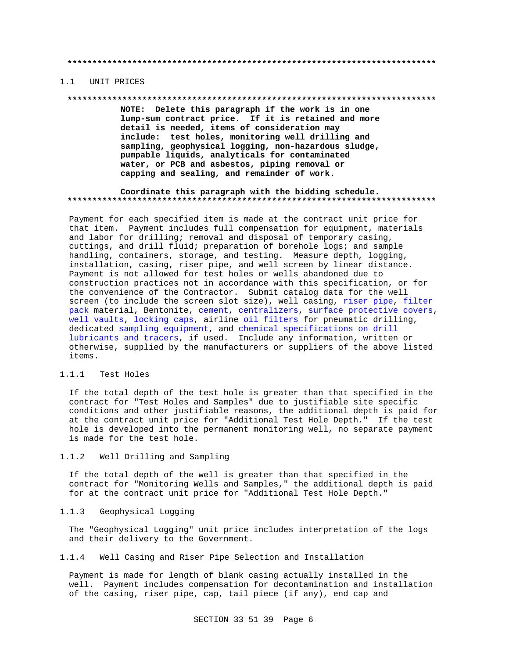### 

## 1.1 UNIT PRICES

### 

NOTE: Delete this paragraph if the work is in one lump-sum contract price. If it is retained and more detail is needed, items of consideration may include: test holes, monitoring well drilling and sampling, geophysical logging, non-hazardous sludge, pumpable liquids, analyticals for contaminated water, or PCB and asbestos, piping removal or capping and sealing, and remainder of work.

## Coordinate this paragraph with the bidding schedule.

Payment for each specified item is made at the contract unit price for that item. Payment includes full compensation for equipment, materials and labor for drilling; removal and disposal of temporary casing, cuttings, and drill fluid; preparation of borehole logs; and sample handling, containers, storage, and testing. Measure depth, logging, installation, casing, riser pipe, and well screen by linear distance. Payment is not allowed for test holes or wells abandoned due to construction practices not in accordance with this specification, or for the convenience of the Contractor. Submit catalog data for the well screen (to include the screen slot size), well casing, riser pipe, filter pack material, Bentonite, cement, centralizers, surface protective covers, well vaults, locking caps, airline oil filters for pneumatic drilling, dedicated sampling equipment, and chemical specifications on drill lubricants and tracers, if used. Include any information, written or otherwise, supplied by the manufacturers or suppliers of the above listed items.

#### $1.1.1$ Test Holes

If the total depth of the test hole is greater than that specified in the contract for "Test Holes and Samples" due to justifiable site specific conditions and other justifiable reasons, the additional depth is paid for at the contract unit price for "Additional Test Hole Depth." If the test hole is developed into the permanent monitoring well, no separate payment is made for the test hole.

### $1.1.2$ Well Drilling and Sampling

If the total depth of the well is greater than that specified in the contract for "Monitoring Wells and Samples," the additional depth is paid for at the contract unit price for "Additional Test Hole Depth."

### $1.1.3$ Geophysical Logging

The "Geophysical Logging" unit price includes interpretation of the logs and their delivery to the Government.

#### $1.1.4$ Well Casing and Riser Pipe Selection and Installation

Payment is made for length of blank casing actually installed in the well. Payment includes compensation for decontamination and installation of the casing, riser pipe, cap, tail piece (if any), end cap and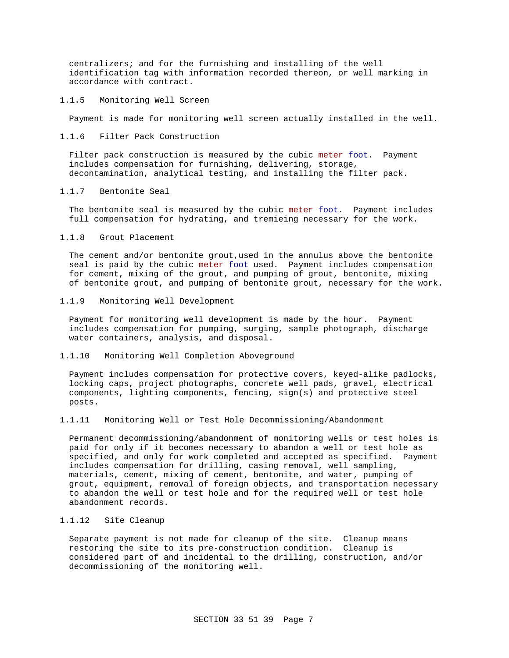centralizers; and for the furnishing and installing of the well identification tag with information recorded thereon, or well marking in accordance with contract.

## 1.1.5 Monitoring Well Screen

Payment is made for monitoring well screen actually installed in the well.

## 1.1.6 Filter Pack Construction

Filter pack construction is measured by the cubic meter foot. Payment includes compensation for furnishing, delivering, storage, decontamination, analytical testing, and installing the filter pack.

# 1.1.7 Bentonite Seal

The bentonite seal is measured by the cubic meter foot. Payment includes full compensation for hydrating, and tremieing necessary for the work.

## 1.1.8 Grout Placement

The cement and/or bentonite grout,used in the annulus above the bentonite seal is paid by the cubic meter foot used. Payment includes compensation for cement, mixing of the grout, and pumping of grout, bentonite, mixing of bentonite grout, and pumping of bentonite grout, necessary for the work.

1.1.9 Monitoring Well Development

Payment for monitoring well development is made by the hour. Payment includes compensation for pumping, surging, sample photograph, discharge water containers, analysis, and disposal.

# 1.1.10 Monitoring Well Completion Aboveground

Payment includes compensation for protective covers, keyed-alike padlocks, locking caps, project photographs, concrete well pads, gravel, electrical components, lighting components, fencing, sign(s) and protective steel posts.

# 1.1.11 Monitoring Well or Test Hole Decommissioning/Abandonment

Permanent decommissioning/abandonment of monitoring wells or test holes is paid for only if it becomes necessary to abandon a well or test hole as specified, and only for work completed and accepted as specified. Payment includes compensation for drilling, casing removal, well sampling, materials, cement, mixing of cement, bentonite, and water, pumping of grout, equipment, removal of foreign objects, and transportation necessary to abandon the well or test hole and for the required well or test hole abandonment records.

# 1.1.12 Site Cleanup

Separate payment is not made for cleanup of the site. Cleanup means restoring the site to its pre-construction condition. Cleanup is considered part of and incidental to the drilling, construction, and/or decommissioning of the monitoring well.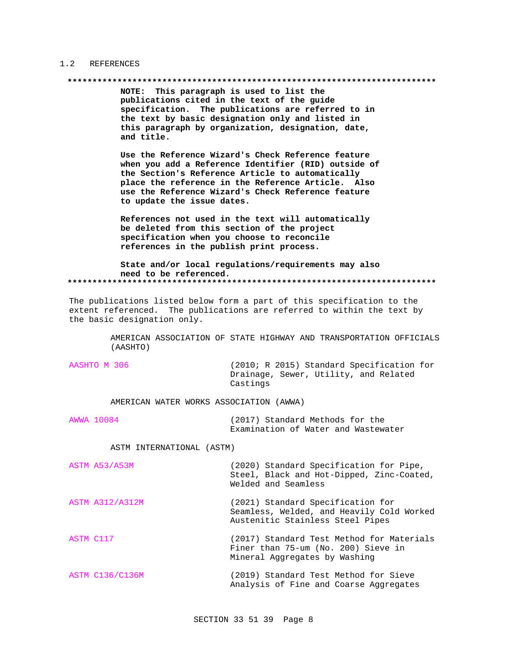## 1.2 REFERENCES

### 

NOTE: This paragraph is used to list the publications cited in the text of the guide specification. The publications are referred to in the text by basic designation only and listed in this paragraph by organization, designation, date, and title.

Use the Reference Wizard's Check Reference feature when you add a Reference Identifier (RID) outside of the Section's Reference Article to automatically place the reference in the Reference Article. Also use the Reference Wizard's Check Reference feature to update the issue dates.

References not used in the text will automatically be deleted from this section of the project specification when you choose to reconcile references in the publish print process.

State and/or local regulations/requirements may also need to be referenced. 

The publications listed below form a part of this specification to the extent referenced. The publications are referred to within the text by the basic designation only.

> AMERICAN ASSOCIATION OF STATE HIGHWAY AND TRANSPORTATION OFFICIALS (AASHTO)

AASHTO M 306

(2010; R 2015) Standard Specification for Drainage, Sewer, Utility, and Related Castings

AMERICAN WATER WORKS ASSOCIATION (AWWA)

AWWA 10084

(2017) Standard Methods for the Examination of Water and Wastewater

ASTM INTERNATIONAL (ASTM)

| ASTM A53/A53M          | (2020) Standard Specification for Pipe,<br>Steel, Black and Hot-Dipped, Zinc-Coated,<br>Welded and Seamless        |
|------------------------|--------------------------------------------------------------------------------------------------------------------|
| <b>ASTM A312/A312M</b> | (2021) Standard Specification for<br>Seamless, Welded, and Heavily Cold Worked<br>Austenitic Stainless Steel Pipes |
| ASTM C117              | (2017) Standard Test Method for Materials<br>Finer than 75-um (No. 200) Sieve in<br>Mineral Aggregates by Washing  |
| <b>ASTM C136/C136M</b> | (2019) Standard Test Method for Sieve<br>Analysis of Fine and Coarse Aggregates                                    |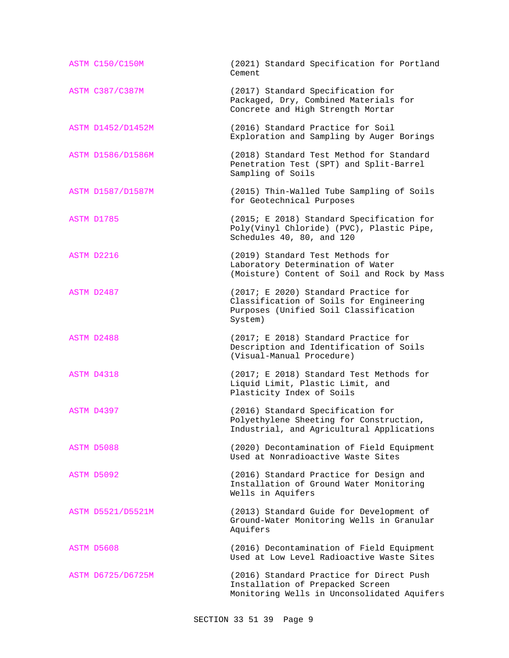| <b>ASTM C150/C150M</b> | (2021) Standard Specification for Portland<br>Cement                                                                                |
|------------------------|-------------------------------------------------------------------------------------------------------------------------------------|
| <b>ASTM C387/C387M</b> | (2017) Standard Specification for<br>Packaged, Dry, Combined Materials for<br>Concrete and High Strength Mortar                     |
| ASTM D1452/D1452M      | (2016) Standard Practice for Soil<br>Exploration and Sampling by Auger Borings                                                      |
| ASTM D1586/D1586M      | (2018) Standard Test Method for Standard<br>Penetration Test (SPT) and Split-Barrel<br>Sampling of Soils                            |
| ASTM D1587/D1587M      | (2015) Thin-Walled Tube Sampling of Soils<br>for Geotechnical Purposes                                                              |
| ASTM D1785             | (2015; E 2018) Standard Specification for<br>Poly(Vinyl Chloride) (PVC), Plastic Pipe,<br>Schedules 40, 80, and 120                 |
| ASTM D2216             | (2019) Standard Test Methods for<br>Laboratory Determination of Water<br>(Moisture) Content of Soil and Rock by Mass                |
| ASTM D2487             | (2017; E 2020) Standard Practice for<br>Classification of Soils for Engineering<br>Purposes (Unified Soil Classification<br>System) |
| ASTM D2488             | (2017; E 2018) Standard Practice for<br>Description and Identification of Soils<br>(Visual-Manual Procedure)                        |
| ASTM D4318             | (2017; E 2018) Standard Test Methods for<br>Liquid Limit, Plastic Limit, and<br>Plasticity Index of Soils                           |
| ASTM D4397             | (2016) Standard Specification for<br>Polyethylene Sheeting for Construction,<br>Industrial, and Agricultural Applications           |
| ASTM D5088             | (2020) Decontamination of Field Equipment<br>Used at Nonradioactive Waste Sites                                                     |
| ASTM D5092             | (2016) Standard Practice for Design and<br>Installation of Ground Water Monitoring<br>Wells in Aquifers                             |
| ASTM D5521/D5521M      | (2013) Standard Guide for Development of<br>Ground-Water Monitoring Wells in Granular<br>Aquifers                                   |
| ASTM D5608             | (2016) Decontamination of Field Equipment<br>Used at Low Level Radioactive Waste Sites                                              |
| ASTM D6725/D6725M      | (2016) Standard Practice for Direct Push<br>Installation of Prepacked Screen<br>Monitoring Wells in Unconsolidated Aquifers         |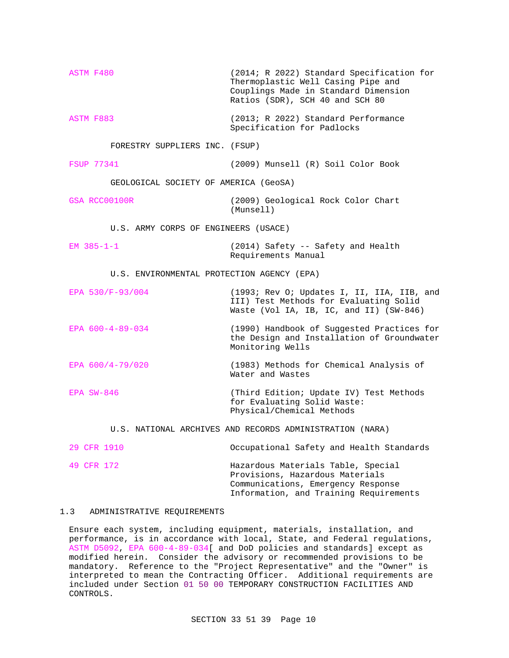ASTM F480 (2014; R 2022) Standard Specification for Thermoplastic Well Casing Pipe and Couplings Made in Standard Dimension Ratios (SDR), SCH 40 and SCH 80 ASTM F883 (2013; R 2022) Standard Performance Specification for Padlocks FORESTRY SUPPLIERS INC. (FSUP) FSUP 77341 (2009) Munsell (R) Soil Color Book GEOLOGICAL SOCIETY OF AMERICA (GeoSA) GSA RCC00100R (2009) Geological Rock Color Chart (Munsell) U.S. ARMY CORPS OF ENGINEERS (USACE) EM 385-1-1 (2014) Safety -- Safety and Health Requirements Manual U.S. ENVIRONMENTAL PROTECTION AGENCY (EPA) EPA 530/F-93/004 (1993; Rev O; Updates I, II, IIA, IIB, and III) Test Methods for Evaluating Solid Waste (Vol IA, IB, IC, and II) (SW-846) EPA 600-4-89-034 (1990) Handbook of Suggested Practices for the Design and Installation of Groundwater Monitoring Wells EPA 600/4-79/020 (1983) Methods for Chemical Analysis of Water and Wastes EPA SW-846 (Third Edition; Update IV) Test Methods for Evaluating Solid Waste: Physical/Chemical Methods U.S. NATIONAL ARCHIVES AND RECORDS ADMINISTRATION (NARA) 29 CFR 1910 Occupational Safety and Health Standards 49 CFR 172 Hazardous Materials Table, Special Provisions, Hazardous Materials

## 1.3 ADMINISTRATIVE REQUIREMENTS

Ensure each system, including equipment, materials, installation, and performance, is in accordance with local, State, and Federal regulations, ASTM D5092, EPA 600-4-89-034[ and DoD policies and standards] except as modified herein. Consider the advisory or recommended provisions to be mandatory. Reference to the "Project Representative" and the "Owner" is interpreted to mean the Contracting Officer. Additional requirements are included under Section 01 50 00 TEMPORARY CONSTRUCTION FACILITIES AND CONTROLS.

Communications, Emergency Response Information, and Training Requirements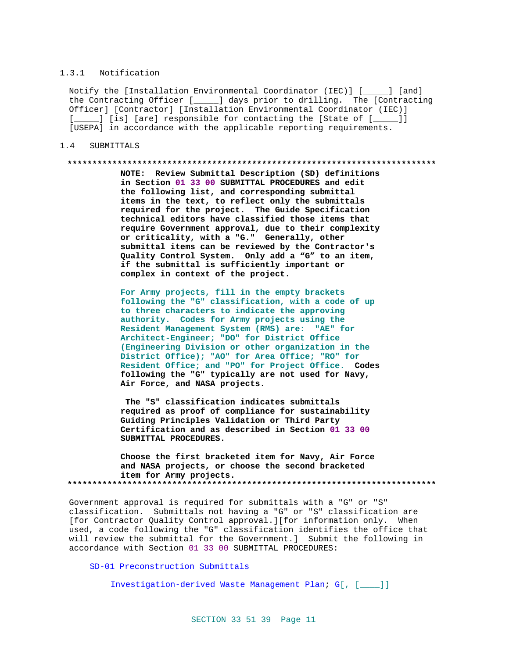## 1.3.1 Notification

Notify the [Installation Environmental Coordinator (IEC)] [\_\_\_\_\_] [and] the Contracting Officer [\_\_\_\_\_] days prior to drilling. The [Contracting Officer] [Contractor] [Installation Environmental Coordinator (IEC)] [\_\_\_\_\_] [is] [are] responsible for contacting the [State of [\_\_\_\_\_]] [USEPA] in accordance with the applicable reporting requirements.

1.4 SUBMITTALS

### **\*\*\*\*\*\*\*\*\*\*\*\*\*\*\*\*\*\*\*\*\*\*\*\*\*\*\*\*\*\*\*\*\*\*\*\*\*\*\*\*\*\*\*\*\*\*\*\*\*\*\*\*\*\*\*\*\*\*\*\*\*\*\*\*\*\*\*\*\*\*\*\*\*\***

**NOTE: Review Submittal Description (SD) definitions in Section 01 33 00 SUBMITTAL PROCEDURES and edit the following list, and corresponding submittal items in the text, to reflect only the submittals required for the project. The Guide Specification technical editors have classified those items that require Government approval, due to their complexity or criticality, with a "G." Generally, other submittal items can be reviewed by the Contractor's Quality Control System. Only add a "G" to an item, if the submittal is sufficiently important or complex in context of the project.**

**For Army projects, fill in the empty brackets following the "G" classification, with a code of up to three characters to indicate the approving authority. Codes for Army projects using the Resident Management System (RMS) are: "AE" for Architect-Engineer; "DO" for District Office (Engineering Division or other organization in the District Office); "AO" for Area Office; "RO" for Resident Office; and "PO" for Project Office. Codes following the "G" typically are not used for Navy, Air Force, and NASA projects.**

**The "S" classification indicates submittals required as proof of compliance for sustainability Guiding Principles Validation or Third Party Certification and as described in Section 01 33 00 SUBMITTAL PROCEDURES.**

**Choose the first bracketed item for Navy, Air Force and NASA projects, or choose the second bracketed item for Army projects. \*\*\*\*\*\*\*\*\*\*\*\*\*\*\*\*\*\*\*\*\*\*\*\*\*\*\*\*\*\*\*\*\*\*\*\*\*\*\*\*\*\*\*\*\*\*\*\*\*\*\*\*\*\*\*\*\*\*\*\*\*\*\*\*\*\*\*\*\*\*\*\*\*\***

Government approval is required for submittals with a "G" or "S" classification. Submittals not having a "G" or "S" classification are [for Contractor Quality Control approval.][for information only. When used, a code following the "G" classification identifies the office that will review the submittal for the Government.] Submit the following in accordance with Section 01 33 00 SUBMITTAL PROCEDURES:

SD-01 Preconstruction Submittals

Investigation-derived Waste Management Plan; G[, [\_\_\_\_]]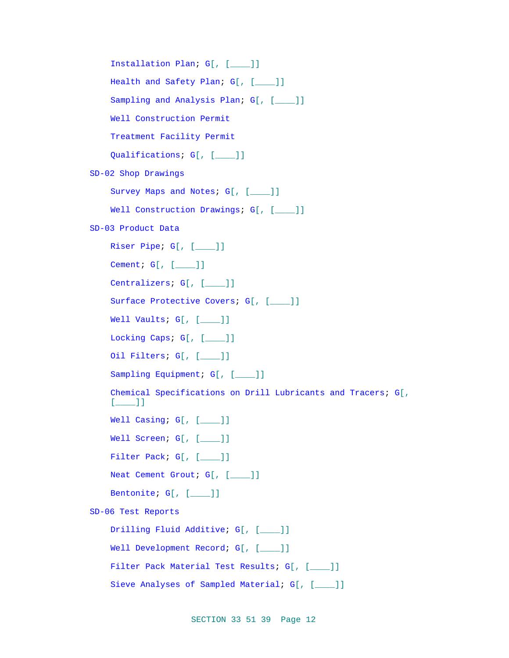Installation Plan; G[, [\_\_\_\_]] Health and Safety Plan; G[, [\_\_\_]] Sampling and Analysis Plan; G[, [\_\_\_]] Well Construction Permit Treatment Facility Permit Qualifications; G[, [\_\_\_\_]] SD-02 Shop Drawings Survey Maps and Notes; G[, [\_\_\_]] Well Construction Drawings; G[, [\_\_\_]] SD-03 Product Data Riser Pipe; G[, [\_\_\_\_]] Cement; G[, [\_\_\_\_]] Centralizers; G[, [\_\_\_\_]] Surface Protective Covers; G[, [\_\_\_\_]] Well Vaults; G[, [\_\_\_\_]] Locking Caps; G[, [\_\_\_]] Oil Filters; G[, [\_\_\_]] Sampling Equipment; G[, [\_\_\_]] Chemical Specifications on Drill Lubricants and Tracers; G[,  $[$   $\_$   $]$ Well Casing; G[, [\_\_\_\_]] Well Screen; G[, [\_\_\_]] Filter Pack; G[, [\_\_\_]] Neat Cement Grout; G[, [\_\_\_\_]] Bentonite; G[, [\_\_\_\_]] SD-06 Test Reports Drilling Fluid Additive; G[, [\_\_\_\_]] Well Development Record; G[, [\_\_\_]] Filter Pack Material Test Results; G[, [\_\_\_\_]] Sieve Analyses of Sampled Material; G[, [\_\_\_\_]]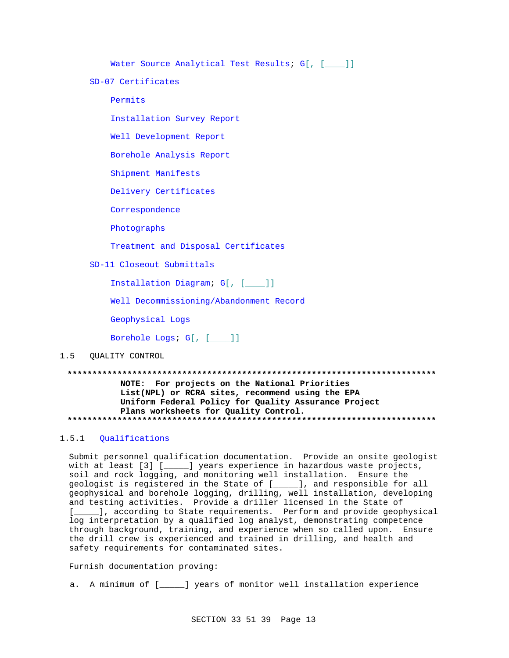Water Source Analytical Test Results; G[, [\_\_\_\_]]

SD-07 Certificates

Permits

Installation Survey Report

Well Development Report

Borehole Analysis Report

Shipment Manifests

Delivery Certificates

Correspondence

Photographs

Treatment and Disposal Certificates

SD-11 Closeout Submittals

Installation Diagram; G[, [\_\_\_]]

Well Decommissioning/Abandonment Record

Geophysical Logs

Borehole Logs; G[, [ ]]

### $1.5$ QUALITY CONTROL

## 

NOTE: For projects on the National Priorities List(NPL) or RCRA sites, recommend using the EPA Uniform Federal Policy for Quality Assurance Project Plans worksheets for Quality Control. 

# 1.5.1 Qualifications

Submit personnel qualification documentation. Provide an onsite geologist with at least [3] [\_\_\_\_\_] years experience in hazardous waste projects, soil and rock logging, and monitoring well installation. Ensure the geologist is registered in the State of [\_\_\_\_], and responsible for all geophysical and borehole logging, drilling, well installation, developing and testing activities. Provide a driller licensed in the State of [\_\_\_\_\_], according to State requirements. Perform and provide geophysical log interpretation by a qualified log analyst, demonstrating competence through background, training, and experience when so called upon. Ensure the drill crew is experienced and trained in drilling, and health and safety requirements for contaminated sites.

Furnish documentation proving:

a. A minimum of [\_\_\_\_\_] years of monitor well installation experience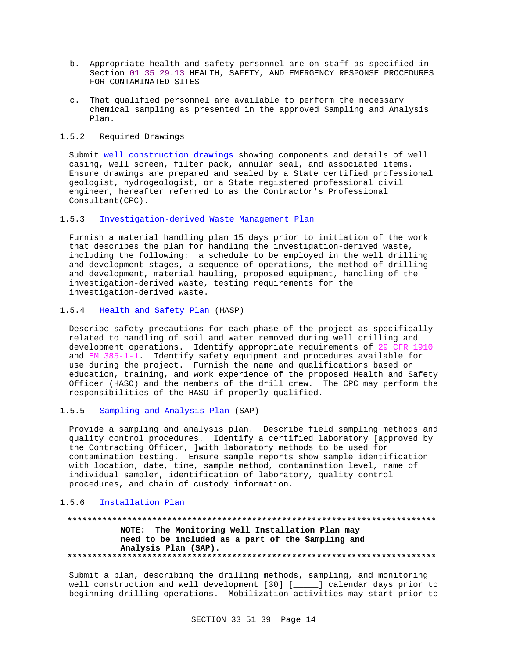- b. Appropriate health and safety personnel are on staff as specified in Section 01 35 29.13 HEALTH, SAFETY, AND EMERGENCY RESPONSE PROCEDURES FOR CONTAMINATED SITES
- c. That qualified personnel are available to perform the necessary chemical sampling as presented in the approved Sampling and Analysis Plan.

## 1.5.2 Required Drawings

Submit well construction drawings showing components and details of well casing, well screen, filter pack, annular seal, and associated items. Ensure drawings are prepared and sealed by a State certified professional geologist, hydrogeologist, or a State registered professional civil engineer, hereafter referred to as the Contractor's Professional Consultant(CPC).

# 1.5.3 Investigation-derived Waste Management Plan

Furnish a material handling plan 15 days prior to initiation of the work that describes the plan for handling the investigation-derived waste, including the following: a schedule to be employed in the well drilling and development stages, a sequence of operations, the method of drilling and development, material hauling, proposed equipment, handling of the investigation-derived waste, testing requirements for the investigation-derived waste.

## 1.5.4 Health and Safety Plan (HASP)

Describe safety precautions for each phase of the project as specifically related to handling of soil and water removed during well drilling and development operations. Identify appropriate requirements of 29 CFR 1910 and EM 385-1-1. Identify safety equipment and procedures available for use during the project. Furnish the name and qualifications based on education, training, and work experience of the proposed Health and Safety Officer (HASO) and the members of the drill crew. The CPC may perform the responsibilities of the HASO if properly qualified.

# 1.5.5 Sampling and Analysis Plan (SAP)

Provide a sampling and analysis plan. Describe field sampling methods and quality control procedures. Identify a certified laboratory [approved by the Contracting Officer, ]with laboratory methods to be used for contamination testing. Ensure sample reports show sample identification with location, date, time, sample method, contamination level, name of individual sampler, identification of laboratory, quality control procedures, and chain of custody information.

# 1.5.6 Installation Plan

# **\*\*\*\*\*\*\*\*\*\*\*\*\*\*\*\*\*\*\*\*\*\*\*\*\*\*\*\*\*\*\*\*\*\*\*\*\*\*\*\*\*\*\*\*\*\*\*\*\*\*\*\*\*\*\*\*\*\*\*\*\*\*\*\*\*\*\*\*\*\*\*\*\*\* NOTE: The Monitoring Well Installation Plan may need to be included as a part of the Sampling and Analysis Plan (SAP). \*\*\*\*\*\*\*\*\*\*\*\*\*\*\*\*\*\*\*\*\*\*\*\*\*\*\*\*\*\*\*\*\*\*\*\*\*\*\*\*\*\*\*\*\*\*\*\*\*\*\*\*\*\*\*\*\*\*\*\*\*\*\*\*\*\*\*\*\*\*\*\*\*\***

Submit a plan, describing the drilling methods, sampling, and monitoring well construction and well development [30] [\_\_\_\_\_] calendar days prior to beginning drilling operations. Mobilization activities may start prior to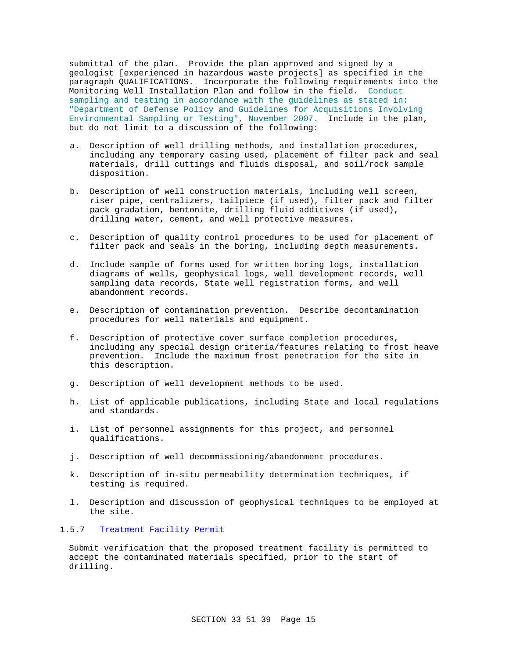submittal of the plan. Provide the plan approved and signed by a geologist [experienced in hazardous waste projects] as specified in the paragraph QUALIFICATIONS. Incorporate the following requirements into the Monitoring Well Installation Plan and follow in the field. Conduct sampling and testing in accordance with the guidelines as stated in: "Department of Defense Policy and Guidelines for Acquisitions Involving Environmental Sampling or Testing", November 2007. Include in the plan, but do not limit to a discussion of the following:

- a. Description of well drilling methods, and installation procedures, including any temporary casing used, placement of filter pack and seal materials, drill cuttings and fluids disposal, and soil/rock sample disposition.
- b. Description of well construction materials, including well screen, riser pipe, centralizers, tailpiece (if used), filter pack and filter pack gradation, bentonite, drilling fluid additives (if used), drilling water, cement, and well protective measures.
- c. Description of quality control procedures to be used for placement of filter pack and seals in the boring, including depth measurements.
- d. Include sample of forms used for written boring logs, installation diagrams of wells, geophysical logs, well development records, well sampling data records, State well registration forms, and well abandonment records.
- e. Description of contamination prevention. Describe decontamination procedures for well materials and equipment.
- f. Description of protective cover surface completion procedures, including any special design criteria/features relating to frost heave prevention. Include the maximum frost penetration for the site in this description.
- g. Description of well development methods to be used.
- h. List of applicable publications, including State and local regulations and standards.
- i. List of personnel assignments for this project, and personnel qualifications.
- j. Description of well decommissioning/abandonment procedures.
- k. Description of in-situ permeability determination techniques, if testing is required.
- l. Description and discussion of geophysical techniques to be employed at the site.

# 1.5.7 Treatment Facility Permit

Submit verification that the proposed treatment facility is permitted to accept the contaminated materials specified, prior to the start of drilling.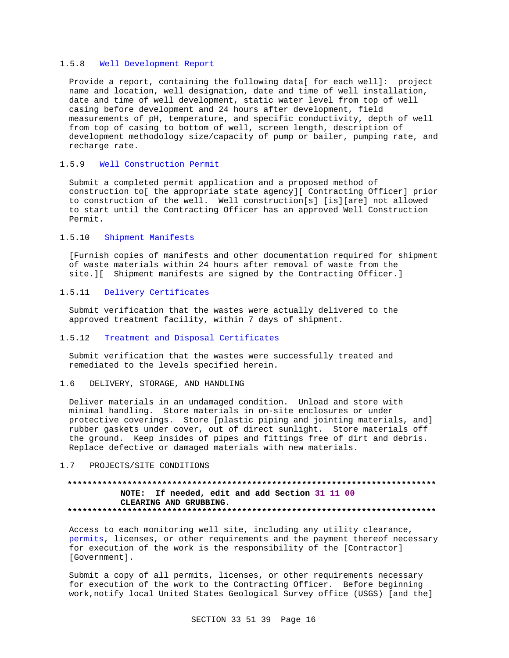## 1.5.8 Well Development Report

Provide a report, containing the following data[ for each well]: project name and location, well designation, date and time of well installation, date and time of well development, static water level from top of well casing before development and 24 hours after development, field measurements of pH, temperature, and specific conductivity, depth of well from top of casing to bottom of well, screen length, description of development methodology size/capacity of pump or bailer, pumping rate, and recharge rate.

### $1.5.9$ Well Construction Permit

Submit a completed permit application and a proposed method of construction to[ the appropriate state agency][ Contracting Officer] prior to construction of the well. Well construction[s] [is][are] not allowed to start until the Contracting Officer has an approved Well Construction Permit.

#### $1.5.10$ Shipment Manifests

[Furnish copies of manifests and other documentation required for shipment of waste materials within 24 hours after removal of waste from the site.][ Shipment manifests are signed by the Contracting Officer.]

## 1.5.11 Delivery Certificates

Submit verification that the wastes were actually delivered to the approved treatment facility, within 7 days of shipment.

### $1.5.12$ Treatment and Disposal Certificates

Submit verification that the wastes were successfully treated and remediated to the levels specified herein.

#### $1.6$ DELIVERY, STORAGE, AND HANDLING

Deliver materials in an undamaged condition. Unload and store with minimal handling. Store materials in on-site enclosures or under protective coverings. Store [plastic piping and jointing materials, and] rubber gaskets under cover, out of direct sunlight. Store materials off the ground. Keep insides of pipes and fittings free of dirt and debris. Replace defective or damaged materials with new materials.

#### PROJECTS/SITE CONDITIONS  $1.7$

# NOTE: If needed, edit and add Section 31 11 00 CLEARING AND GRUBBING.

Access to each monitoring well site, including any utility clearance, permits, licenses, or other requirements and the payment thereof necessary for execution of the work is the responsibility of the [Contractor] [Government].

Submit a copy of all permits, licenses, or other requirements necessary for execution of the work to the Contracting Officer. Before beginning work, notify local United States Geological Survey office (USGS) [and the]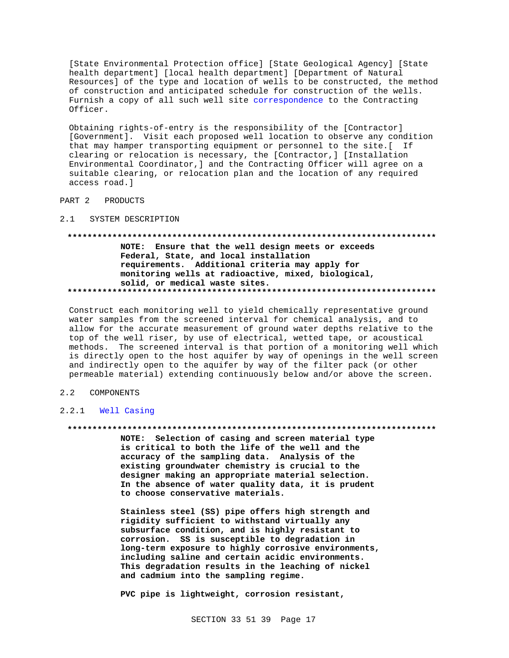[State Environmental Protection office] [State Geological Agency] [State health department] [local health department] [Department of Natural Resources] of the type and location of wells to be constructed, the method of construction and anticipated schedule for construction of the wells. Furnish a copy of all such well site correspondence to the Contracting Officer.

Obtaining rights-of-entry is the responsibility of the [Contractor] [Government]. Visit each proposed well location to observe any condition that may hamper transporting equipment or personnel to the site.[ If clearing or relocation is necessary, the [Contractor,] [Installation Environmental Coordinator, and the Contracting Officer will agree on a suitable clearing, or relocation plan and the location of any required access road.l

PART 2 PRODUCTS

#### $2.1$ SYSTEM DESCRIPTION

# NOTE: Ensure that the well design meets or exceeds Federal, State, and local installation requirements. Additional criteria may apply for monitoring wells at radioactive, mixed, biological, solid, or medical waste sites.

Construct each monitoring well to yield chemically representative ground water samples from the screened interval for chemical analysis, and to allow for the accurate measurement of ground water depths relative to the top of the well riser, by use of electrical, wetted tape, or acoustical methods. The screened interval is that portion of a monitoring well which is directly open to the host aquifer by way of openings in the well screen and indirectly open to the aquifer by way of the filter pack (or other permeable material) extending continuously below and/or above the screen.

#### $2.2$ COMPONENTS

#### $2.2.1$ Well Casing

### 

NOTE: Selection of casing and screen material type is critical to both the life of the well and the accuracy of the sampling data. Analysis of the existing groundwater chemistry is crucial to the designer making an appropriate material selection. In the absence of water quality data, it is prudent to choose conservative materials.

Stainless steel (SS) pipe offers high strength and rigidity sufficient to withstand virtually any subsurface condition, and is highly resistant to corrosion. SS is susceptible to degradation in long-term exposure to highly corrosive environments, including saline and certain acidic environments. This degradation results in the leaching of nickel and cadmium into the sampling regime.

PVC pipe is lightweight, corrosion resistant,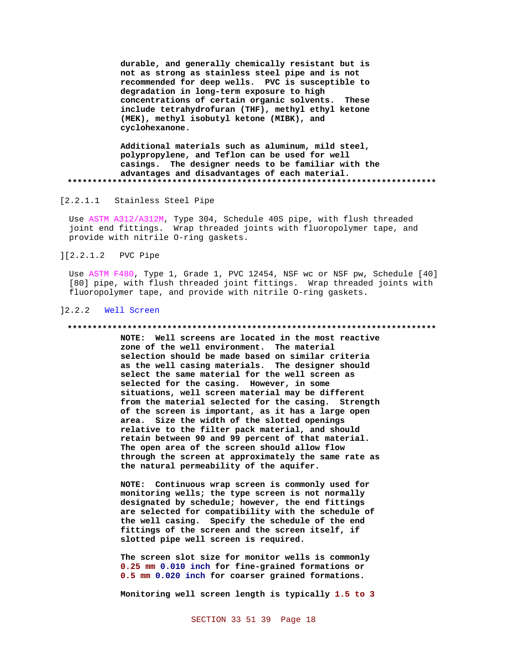**durable, and generally chemically resistant but is not as strong as stainless steel pipe and is not recommended for deep wells. PVC is susceptible to degradation in long-term exposure to high concentrations of certain organic solvents. These include tetrahydrofuran (THF), methyl ethyl ketone (MEK), methyl isobutyl ketone (MIBK), and cyclohexanone.**

**Additional materials such as aluminum, mild steel, polypropylene, and Teflon can be used for well casings. The designer needs to be familiar with the advantages and disadvantages of each material. \*\*\*\*\*\*\*\*\*\*\*\*\*\*\*\*\*\*\*\*\*\*\*\*\*\*\*\*\*\*\*\*\*\*\*\*\*\*\*\*\*\*\*\*\*\*\*\*\*\*\*\*\*\*\*\*\*\*\*\*\*\*\*\*\*\*\*\*\*\*\*\*\*\***

[2.2.1.1 Stainless Steel Pipe

Use ASTM A312/A312M, Type 304, Schedule 40S pipe, with flush threaded joint end fittings. Wrap threaded joints with fluoropolymer tape, and provide with nitrile O-ring gaskets.

][2.2.1.2 PVC Pipe

Use ASTM F480, Type 1, Grade 1, PVC 12454, NSF wc or NSF pw, Schedule [40] [80] pipe, with flush threaded joint fittings. Wrap threaded joints with fluoropolymer tape, and provide with nitrile O-ring gaskets.

# ]2.2.2 Well Screen

### **\*\*\*\*\*\*\*\*\*\*\*\*\*\*\*\*\*\*\*\*\*\*\*\*\*\*\*\*\*\*\*\*\*\*\*\*\*\*\*\*\*\*\*\*\*\*\*\*\*\*\*\*\*\*\*\*\*\*\*\*\*\*\*\*\*\*\*\*\*\*\*\*\*\***

**NOTE: Well screens are located in the most reactive zone of the well environment. The material selection should be made based on similar criteria as the well casing materials. The designer should select the same material for the well screen as selected for the casing. However, in some situations, well screen material may be different from the material selected for the casing. Strength of the screen is important, as it has a large open area. Size the width of the slotted openings relative to the filter pack material, and should retain between 90 and 99 percent of that material. The open area of the screen should allow flow through the screen at approximately the same rate as the natural permeability of the aquifer.**

**NOTE: Continuous wrap screen is commonly used for monitoring wells; the type screen is not normally designated by schedule; however, the end fittings are selected for compatibility with the schedule of the well casing. Specify the schedule of the end fittings of the screen and the screen itself, if slotted pipe well screen is required.**

**The screen slot size for monitor wells is commonly 0.25 mm 0.010 inch for fine-grained formations or 0.5 mm 0.020 inch for coarser grained formations.**

**Monitoring well screen length is typically 1.5 to 3**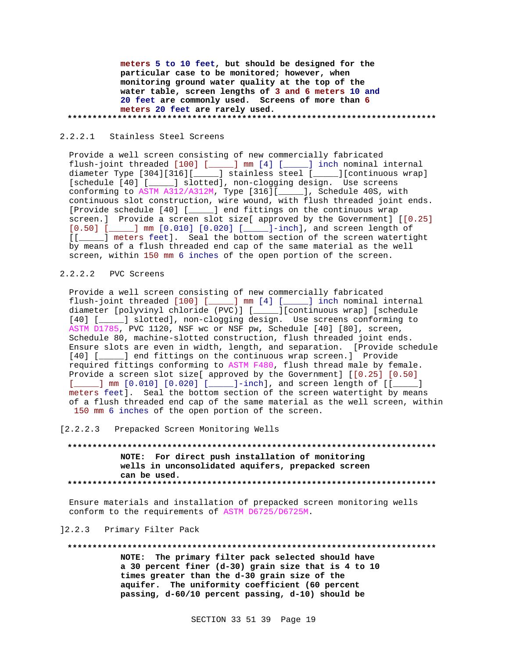**meters 5 to 10 feet, but should be designed for the particular case to be monitored; however, when monitoring ground water quality at the top of the water table, screen lengths of 3 and 6 meters 10 and 20 feet are commonly used. Screens of more than 6 meters 20 feet are rarely used. \*\*\*\*\*\*\*\*\*\*\*\*\*\*\*\*\*\*\*\*\*\*\*\*\*\*\*\*\*\*\*\*\*\*\*\*\*\*\*\*\*\*\*\*\*\*\*\*\*\*\*\*\*\*\*\*\*\*\*\*\*\*\*\*\*\*\*\*\*\*\*\*\*\***

## 2.2.2.1 Stainless Steel Screens

Provide a well screen consisting of new commercially fabricated flush-joint threaded [100] [\_\_\_\_\_] mm [4] [\_\_\_\_\_] inch nominal internal diameter Type [304][316][\_\_\_\_\_] stainless steel [\_\_\_\_\_][continuous wrap] [schedule [40] [\_\_\_\_\_] slotted], non-clogging design. Use screens conforming to ASTM A312/A312M, Type [316][\_\_\_\_\_], Schedule 40S, with continuous slot construction, wire wound, with flush threaded joint ends. [Provide schedule [40] [\_\_\_\_\_] end fittings on the continuous wrap screen.] Provide a screen slot size[ approved by the Government] [[0.25] [0.50] [\_\_\_\_\_] mm [0.010] [0.020] [\_\_\_\_\_]-inch], and screen length of [[\_\_\_\_\_] meters feet]. Seal the bottom section of the screen watertight by means of a flush threaded end cap of the same material as the well screen, within 150 mm 6 inches of the open portion of the screen.

# 2.2.2.2 PVC Screens

Provide a well screen consisting of new commercially fabricated flush-joint threaded [100] [\_\_\_\_\_] mm [4] [\_\_\_\_\_] inch nominal internal diameter [polyvinyl chloride (PVC)] [\_\_\_\_\_][continuous wrap] [schedule [40] [\_\_\_\_\_] slotted], non-clogging design. Use screens conforming to ASTM D1785, PVC 1120, NSF wc or NSF pw, Schedule [40] [80], screen, Schedule 80, machine-slotted construction, flush threaded joint ends. Ensure slots are even in width, length, and separation. [Provide schedule [40] [\_\_\_\_\_] end fittings on the continuous wrap screen.] Provide required fittings conforming to ASTM F480, flush thread male by female. Provide a screen slot size[ approved by the Government] [[0.25] [0.50] [\_\_\_\_\_] mm [0.010] [0.020] [\_\_\_\_\_]-inch], and screen length of [[\_\_\_\_\_] meters feet]. Seal the bottom section of the screen watertight by means of a flush threaded end cap of the same material as the well screen, within 150 mm 6 inches of the open portion of the screen.

[2.2.2.3 Prepacked Screen Monitoring Wells

**\*\*\*\*\*\*\*\*\*\*\*\*\*\*\*\*\*\*\*\*\*\*\*\*\*\*\*\*\*\*\*\*\*\*\*\*\*\*\*\*\*\*\*\*\*\*\*\*\*\*\*\*\*\*\*\*\*\*\*\*\*\*\*\*\*\*\*\*\*\*\*\*\*\* NOTE: For direct push installation of monitoring wells in unconsolidated aquifers, prepacked screen can be used. \*\*\*\*\*\*\*\*\*\*\*\*\*\*\*\*\*\*\*\*\*\*\*\*\*\*\*\*\*\*\*\*\*\*\*\*\*\*\*\*\*\*\*\*\*\*\*\*\*\*\*\*\*\*\*\*\*\*\*\*\*\*\*\*\*\*\*\*\*\*\*\*\*\***

Ensure materials and installation of prepacked screen monitoring wells conform to the requirements of ASTM D6725/D6725M.

## ]2.2.3 Primary Filter Pack

**\*\*\*\*\*\*\*\*\*\*\*\*\*\*\*\*\*\*\*\*\*\*\*\*\*\*\*\*\*\*\*\*\*\*\*\*\*\*\*\*\*\*\*\*\*\*\*\*\*\*\*\*\*\*\*\*\*\*\*\*\*\*\*\*\*\*\*\*\*\*\*\*\*\* NOTE: The primary filter pack selected should have a 30 percent finer (d-30) grain size that is 4 to 10 times greater than the d-30 grain size of the aquifer. The uniformity coefficient (60 percent passing, d-60/10 percent passing, d-10) should be**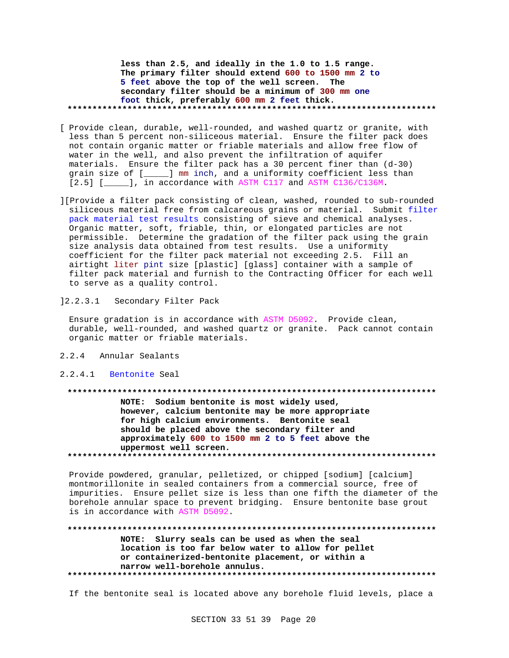**less than 2.5, and ideally in the 1.0 to 1.5 range. The primary filter should extend 600 to 1500 mm 2 to 5 feet above the top of the well screen. The secondary filter should be a minimum of 300 mm one foot thick, preferably 600 mm 2 feet thick. \*\*\*\*\*\*\*\*\*\*\*\*\*\*\*\*\*\*\*\*\*\*\*\*\*\*\*\*\*\*\*\*\*\*\*\*\*\*\*\*\*\*\*\*\*\*\*\*\*\*\*\*\*\*\*\*\*\*\*\*\*\*\*\*\*\*\*\*\*\*\*\*\*\***

- [ Provide clean, durable, well-rounded, and washed quartz or granite, with less than 5 percent non-siliceous material. Ensure the filter pack does not contain organic matter or friable materials and allow free flow of water in the well, and also prevent the infiltration of aquifer materials. Ensure the filter pack has a 30 percent finer than (d-30) grain size of [\_\_\_\_\_] mm inch, and a uniformity coefficient less than [2.5] [\_\_\_\_\_], in accordance with ASTM C117 and ASTM C136/C136M.
- ][Provide a filter pack consisting of clean, washed, rounded to sub-rounded siliceous material free from calcareous grains or material. Submit filter pack material test results consisting of sieve and chemical analyses. Organic matter, soft, friable, thin, or elongated particles are not permissible. Determine the gradation of the filter pack using the grain size analysis data obtained from test results. Use a uniformity coefficient for the filter pack material not exceeding 2.5. Fill an airtight liter pint size [plastic] [glass] container with a sample of filter pack material and furnish to the Contracting Officer for each well to serve as a quality control.
- ]2.2.3.1 Secondary Filter Pack

Ensure gradation is in accordance with ASTM D5092. Provide clean, durable, well-rounded, and washed quartz or granite. Pack cannot contain organic matter or friable materials.

- 2.2.4 Annular Sealants
- 2.2.4.1 Bentonite Seal

# **\*\*\*\*\*\*\*\*\*\*\*\*\*\*\*\*\*\*\*\*\*\*\*\*\*\*\*\*\*\*\*\*\*\*\*\*\*\*\*\*\*\*\*\*\*\*\*\*\*\*\*\*\*\*\*\*\*\*\*\*\*\*\*\*\*\*\*\*\*\*\*\*\*\* NOTE: Sodium bentonite is most widely used, however, calcium bentonite may be more appropriate for high calcium environments. Bentonite seal should be placed above the secondary filter and approximately 600 to 1500 mm 2 to 5 feet above the uppermost well screen. \*\*\*\*\*\*\*\*\*\*\*\*\*\*\*\*\*\*\*\*\*\*\*\*\*\*\*\*\*\*\*\*\*\*\*\*\*\*\*\*\*\*\*\*\*\*\*\*\*\*\*\*\*\*\*\*\*\*\*\*\*\*\*\*\*\*\*\*\*\*\*\*\*\***

Provide powdered, granular, pelletized, or chipped [sodium] [calcium] montmorillonite in sealed containers from a commercial source, free of impurities. Ensure pellet size is less than one fifth the diameter of the borehole annular space to prevent bridging. Ensure bentonite base grout is in accordance with ASTM D5092.

**\*\*\*\*\*\*\*\*\*\*\*\*\*\*\*\*\*\*\*\*\*\*\*\*\*\*\*\*\*\*\*\*\*\*\*\*\*\*\*\*\*\*\*\*\*\*\*\*\*\*\*\*\*\*\*\*\*\*\*\*\*\*\*\*\*\*\*\*\*\*\*\*\*\* NOTE: Slurry seals can be used as when the seal location is too far below water to allow for pellet or containerized-bentonite placement, or within a narrow well-borehole annulus. \*\*\*\*\*\*\*\*\*\*\*\*\*\*\*\*\*\*\*\*\*\*\*\*\*\*\*\*\*\*\*\*\*\*\*\*\*\*\*\*\*\*\*\*\*\*\*\*\*\*\*\*\*\*\*\*\*\*\*\*\*\*\*\*\*\*\*\*\*\*\*\*\*\***

If the bentonite seal is located above any borehole fluid levels, place a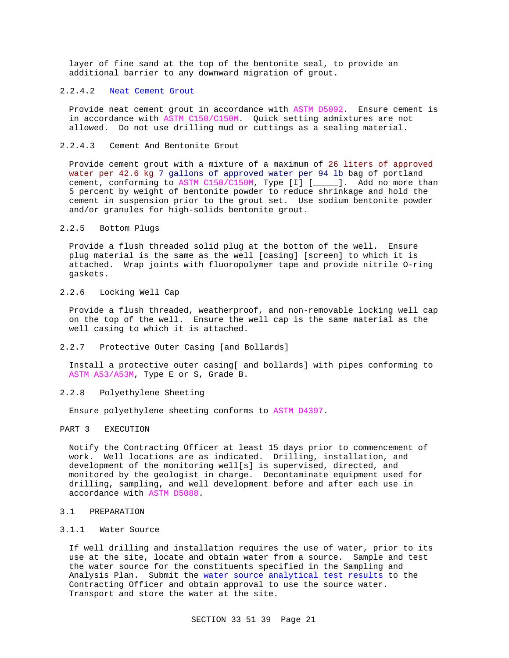layer of fine sand at the top of the bentonite seal, to provide an additional barrier to any downward migration of grout.

# 2.2.4.2 Neat Cement Grout

Provide neat cement grout in accordance with ASTM D5092. Ensure cement is in accordance with ASTM C150/C150M. Quick setting admixtures are not allowed. Do not use drilling mud or cuttings as a sealing material.

# 2.2.4.3 Cement And Bentonite Grout

Provide cement grout with a mixture of a maximum of 26 liters of approved water per 42.6 kg 7 gallons of approved water per 94 lb bag of portland cement, conforming to ASTM C150/C150M, Type [I] [\_\_\_\_]. Add no more than 5 percent by weight of bentonite powder to reduce shrinkage and hold the cement in suspension prior to the grout set. Use sodium bentonite powder and/or granules for high-solids bentonite grout.

# 2.2.5 Bottom Plugs

Provide a flush threaded solid plug at the bottom of the well. Ensure plug material is the same as the well [casing] [screen] to which it is attached. Wrap joints with fluoropolymer tape and provide nitrile O-ring gaskets.

## 2.2.6 Locking Well Cap

Provide a flush threaded, weatherproof, and non-removable locking well cap on the top of the well. Ensure the well cap is the same material as the well casing to which it is attached.

2.2.7 Protective Outer Casing [and Bollards]

Install a protective outer casing[ and bollards] with pipes conforming to ASTM A53/A53M, Type E or S, Grade B.

# 2.2.8 Polyethylene Sheeting

Ensure polyethylene sheeting conforms to ASTM D4397.

# PART 3 EXECUTION

Notify the Contracting Officer at least 15 days prior to commencement of work. Well locations are as indicated. Drilling, installation, and development of the monitoring well[s] is supervised, directed, and monitored by the geologist in charge. Decontaminate equipment used for drilling, sampling, and well development before and after each use in accordance with ASTM D5088.

# 3.1 PREPARATION

# 3.1.1 Water Source

If well drilling and installation requires the use of water, prior to its use at the site, locate and obtain water from a source. Sample and test the water source for the constituents specified in the Sampling and Analysis Plan. Submit the water source analytical test results to the Contracting Officer and obtain approval to use the source water. Transport and store the water at the site.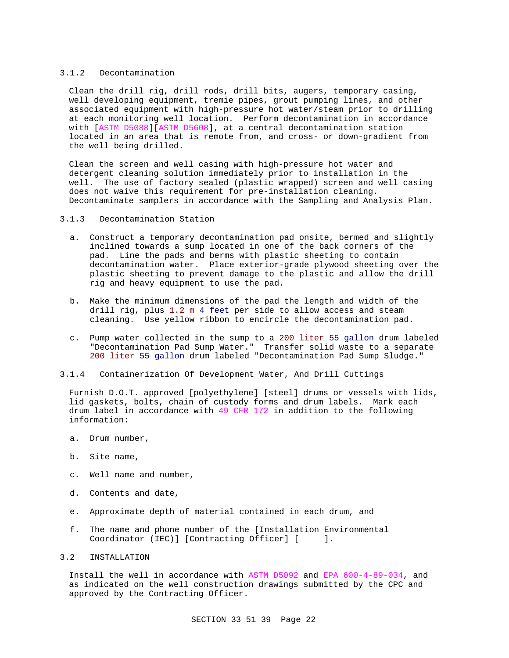## 3.1.2 Decontamination

Clean the drill rig, drill rods, drill bits, augers, temporary casing, well developing equipment, tremie pipes, grout pumping lines, and other associated equipment with high-pressure hot water/steam prior to drilling at each monitoring well location. Perform decontamination in accordance with [ASTM D5088][ASTM D5608], at a central decontamination station located in an area that is remote from, and cross- or down-gradient from the well being drilled.

Clean the screen and well casing with high-pressure hot water and detergent cleaning solution immediately prior to installation in the well. The use of factory sealed (plastic wrapped) screen and well casing does not waive this requirement for pre-installation cleaning. Decontaminate samplers in accordance with the Sampling and Analysis Plan.

## 3.1.3 Decontamination Station

- a. Construct a temporary decontamination pad onsite, bermed and slightly inclined towards a sump located in one of the back corners of the pad. Line the pads and berms with plastic sheeting to contain decontamination water. Place exterior-grade plywood sheeting over the plastic sheeting to prevent damage to the plastic and allow the drill rig and heavy equipment to use the pad.
- b. Make the minimum dimensions of the pad the length and width of the drill rig, plus 1.2 m 4 feet per side to allow access and steam cleaning. Use yellow ribbon to encircle the decontamination pad.
- c. Pump water collected in the sump to a 200 liter 55 gallon drum labeled "Decontamination Pad Sump Water." Transfer solid waste to a separate 200 liter 55 gallon drum labeled "Decontamination Pad Sump Sludge."
- 3.1.4 Containerization Of Development Water, And Drill Cuttings

Furnish D.O.T. approved [polyethylene] [steel] drums or vessels with lids, lid gaskets, bolts, chain of custody forms and drum labels. Mark each drum label in accordance with 49 CFR 172 in addition to the following information:

- a. Drum number,
- b. Site name,
- c. Well name and number,
- d. Contents and date,
- e. Approximate depth of material contained in each drum, and
- f. The name and phone number of the [Installation Environmental Coordinator (IEC)] [Contracting Officer] [\_\_\_\_\_].

## 3.2 INSTALLATION

Install the well in accordance with ASTM D5092 and EPA 600-4-89-034, and as indicated on the well construction drawings submitted by the CPC and approved by the Contracting Officer.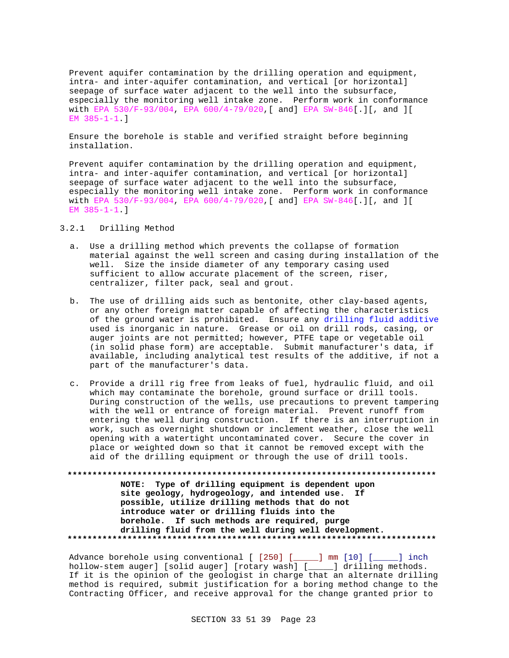Prevent aquifer contamination by the drilling operation and equipment, intra- and inter-aquifer contamination, and vertical [or horizontal] seepage of surface water adjacent to the well into the subsurface, especially the monitoring well intake zone. Perform work in conformance with EPA 530/F-93/004, EPA 600/4-79/020,[ and] EPA SW-846[.][, and ][ EM 385-1-1.]

Ensure the borehole is stable and verified straight before beginning installation.

Prevent aquifer contamination by the drilling operation and equipment, intra- and inter-aquifer contamination, and vertical [or horizontal] seepage of surface water adjacent to the well into the subsurface, especially the monitoring well intake zone. Perform work in conformance with EPA 530/F-93/004, EPA 600/4-79/020,[ and] EPA SW-846[.][, and ][ EM 385-1-1.]

- 3.2.1 Drilling Method
	- a. Use a drilling method which prevents the collapse of formation material against the well screen and casing during installation of the well. Size the inside diameter of any temporary casing used sufficient to allow accurate placement of the screen, riser, centralizer, filter pack, seal and grout.
	- b. The use of drilling aids such as bentonite, other clay-based agents, or any other foreign matter capable of affecting the characteristics of the ground water is prohibited. Ensure any drilling fluid additive used is inorganic in nature. Grease or oil on drill rods, casing, or auger joints are not permitted; however, PTFE tape or vegetable oil (in solid phase form) are acceptable. Submit manufacturer's data, if available, including analytical test results of the additive, if not a part of the manufacturer's data.
	- c. Provide a drill rig free from leaks of fuel, hydraulic fluid, and oil which may contaminate the borehole, ground surface or drill tools. During construction of the wells, use precautions to prevent tampering with the well or entrance of foreign material. Prevent runoff from entering the well during construction. If there is an interruption in work, such as overnight shutdown or inclement weather, close the well opening with a watertight uncontaminated cover. Secure the cover in place or weighted down so that it cannot be removed except with the aid of the drilling equipment or through the use of drill tools.

**\*\*\*\*\*\*\*\*\*\*\*\*\*\*\*\*\*\*\*\*\*\*\*\*\*\*\*\*\*\*\*\*\*\*\*\*\*\*\*\*\*\*\*\*\*\*\*\*\*\*\*\*\*\*\*\*\*\*\*\*\*\*\*\*\*\*\*\*\*\*\*\*\*\* NOTE: Type of drilling equipment is dependent upon site geology, hydrogeology, and intended use. If possible, utilize drilling methods that do not introduce water or drilling fluids into the borehole. If such methods are required, purge drilling fluid from the well during well development. \*\*\*\*\*\*\*\*\*\*\*\*\*\*\*\*\*\*\*\*\*\*\*\*\*\*\*\*\*\*\*\*\*\*\*\*\*\*\*\*\*\*\*\*\*\*\*\*\*\*\*\*\*\*\*\*\*\*\*\*\*\*\*\*\*\*\*\*\*\*\*\*\*\***

Advance borehole using conventional [ [250] [\_\_\_\_\_] mm [10] [\_\_\_\_\_] inch hollow-stem auger] [solid auger] [rotary wash] [\_\_\_\_\_] drilling methods. If it is the opinion of the geologist in charge that an alternate drilling method is required, submit justification for a boring method change to the Contracting Officer, and receive approval for the change granted prior to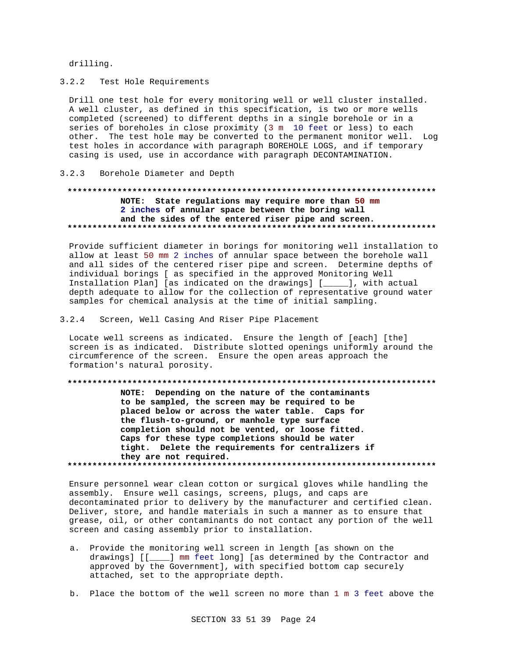drilling.

 $3.2.2$ Test Hole Requirements

Drill one test hole for every monitoring well or well cluster installed. A well cluster, as defined in this specification, is two or more wells completed (screened) to different depths in a single borehole or in a series of boreholes in close proximity (3 m 10 feet or less) to each other. The test hole may be converted to the permanent monitor well. Log test holes in accordance with paragraph BOREHOLE LOGS, and if temporary casing is used, use in accordance with paragraph DECONTAMINATION.

#### $3.2.3$ Borehole Diameter and Depth

# NOTE: State regulations may require more than 50 mm 2 inches of annular space between the boring wall and the sides of the entered riser pipe and screen.

Provide sufficient diameter in borings for monitoring well installation to allow at least 50 mm 2 inches of annular space between the borehole wall and all sides of the centered riser pipe and screen. Determine depths of individual borings [ as specified in the approved Monitoring Well Installation Plan] [as indicated on the drawings] [\_\_\_\_], with actual depth adequate to allow for the collection of representative ground water samples for chemical analysis at the time of initial sampling.

 $3.2.4$ Screen, Well Casing And Riser Pipe Placement

Locate well screens as indicated. Ensure the length of [each] [the] screen is as indicated. Distribute slotted openings uniformly around the circumference of the screen. Ensure the open areas approach the formation's natural porosity.

## 

NOTE: Depending on the nature of the contaminants to be sampled, the screen may be required to be placed below or across the water table. Caps for the flush-to-ground, or manhole type surface completion should not be vented, or loose fitted. Caps for these type completions should be water tight. Delete the requirements for centralizers if they are not required. 

Ensure personnel wear clean cotton or surgical gloves while handling the assembly. Ensure well casings, screens, plugs, and caps are decontaminated prior to delivery by the manufacturer and certified clean. Deliver, store, and handle materials in such a manner as to ensure that grease, oil, or other contaminants do not contact any portion of the well screen and casing assembly prior to installation.

- a. Provide the monitoring well screen in length [as shown on the drawings] [[\_\_\_\_] mm feet long] [as determined by the Contractor and approved by the Government], with specified bottom cap securely attached, set to the appropriate depth.
- b. Place the bottom of the well screen no more than 1 m 3 feet above the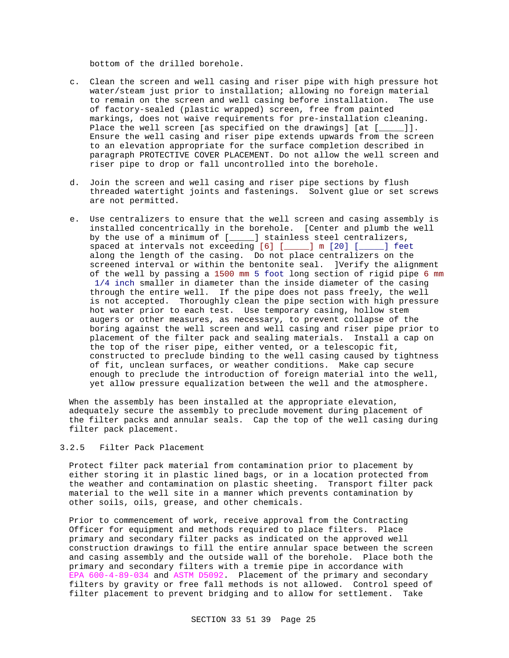bottom of the drilled borehole.

- c. Clean the screen and well casing and riser pipe with high pressure hot water/steam just prior to installation; allowing no foreign material to remain on the screen and well casing before installation. The use of factory-sealed (plastic wrapped) screen, free from painted markings, does not waive requirements for pre-installation cleaning. Place the well screen [as specified on the drawings] [at [\_\_\_\_\_]]. Ensure the well casing and riser pipe extends upwards from the screen to an elevation appropriate for the surface completion described in paragraph PROTECTIVE COVER PLACEMENT. Do not allow the well screen and riser pipe to drop or fall uncontrolled into the borehole.
- d. Join the screen and well casing and riser pipe sections by flush threaded watertight joints and fastenings. Solvent glue or set screws are not permitted.
- e. Use centralizers to ensure that the well screen and casing assembly is installed concentrically in the borehole. [Center and plumb the well by the use of a minimum of [\_\_\_\_\_] stainless steel centralizers, spaced at intervals not exceeding [6] [\_\_\_\_\_] m [20] [\_\_\_\_\_] feet along the length of the casing. Do not place centralizers on the screened interval or within the bentonite seal. ]Verify the alignment of the well by passing a 1500 mm 5 foot long section of rigid pipe 6 mm 1/4 inch smaller in diameter than the inside diameter of the casing through the entire well. If the pipe does not pass freely, the well is not accepted. Thoroughly clean the pipe section with high pressure hot water prior to each test. Use temporary casing, hollow stem augers or other measures, as necessary, to prevent collapse of the boring against the well screen and well casing and riser pipe prior to placement of the filter pack and sealing materials. Install a cap on the top of the riser pipe, either vented, or a telescopic fit, constructed to preclude binding to the well casing caused by tightness of fit, unclean surfaces, or weather conditions. Make cap secure enough to preclude the introduction of foreign material into the well, yet allow pressure equalization between the well and the atmosphere.

When the assembly has been installed at the appropriate elevation, adequately secure the assembly to preclude movement during placement of the filter packs and annular seals. Cap the top of the well casing during filter pack placement.

# 3.2.5 Filter Pack Placement

Protect filter pack material from contamination prior to placement by either storing it in plastic lined bags, or in a location protected from the weather and contamination on plastic sheeting. Transport filter pack material to the well site in a manner which prevents contamination by other soils, oils, grease, and other chemicals.

Prior to commencement of work, receive approval from the Contracting Officer for equipment and methods required to place filters. Place primary and secondary filter packs as indicated on the approved well construction drawings to fill the entire annular space between the screen and casing assembly and the outside wall of the borehole. Place both the primary and secondary filters with a tremie pipe in accordance with EPA 600-4-89-034 and ASTM D5092. Placement of the primary and secondary filters by gravity or free fall methods is not allowed. Control speed of filter placement to prevent bridging and to allow for settlement. Take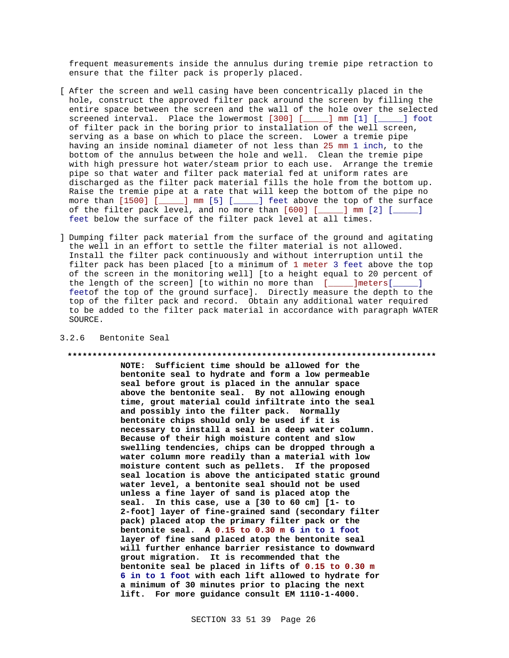frequent measurements inside the annulus during tremie pipe retraction to ensure that the filter pack is properly placed.

- [ After the screen and well casing have been concentrically placed in the hole, construct the approved filter pack around the screen by filling the entire space between the screen and the wall of the hole over the selected screened interval. Place the lowermost [300] [\_\_\_\_] mm [1] [\_\_\_\_] foot of filter pack in the boring prior to installation of the well screen, serving as a base on which to place the screen. Lower a tremie pipe having an inside nominal diameter of not less than 25 mm 1 inch, to the bottom of the annulus between the hole and well. Clean the tremie pipe with high pressure hot water/steam prior to each use. Arrange the tremie pipe so that water and filter pack material fed at uniform rates are discharged as the filter pack material fills the hole from the bottom up. Raise the tremie pipe at a rate that will keep the bottom of the pipe no more than [1500] [\_\_\_\_\_] mm [5] [\_\_\_\_\_] feet above the top of the surface of the filter pack level, and no more than  $[600]$  [ $\_\_\_\_\_\$  ] mm  $[2]$  [ $\_\_\_\_\_\]$ feet below the surface of the filter pack level at all times.
- ] Dumping filter pack material from the surface of the ground and agitating the well in an effort to settle the filter material is not allowed. Install the filter pack continuously and without interruption until the filter pack has been placed [to a minimum of 1 meter 3 feet above the top of the screen in the monitoring well] [to a height equal to 20 percent of the length of the screen] [to within no more than [\_\_\_\_\_]meters[\_\_\_\_\_] feetof the top of the ground surface]. Directly measure the depth to the top of the filter pack and record. Obtain any additional water required to be added to the filter pack material in accordance with paragraph WATER SOURCE.

## 3.2.6 Bentonite Seal

### **\*\*\*\*\*\*\*\*\*\*\*\*\*\*\*\*\*\*\*\*\*\*\*\*\*\*\*\*\*\*\*\*\*\*\*\*\*\*\*\*\*\*\*\*\*\*\*\*\*\*\*\*\*\*\*\*\*\*\*\*\*\*\*\*\*\*\*\*\*\*\*\*\*\***

**NOTE: Sufficient time should be allowed for the bentonite seal to hydrate and form a low permeable seal before grout is placed in the annular space above the bentonite seal. By not allowing enough time, grout material could infiltrate into the seal and possibly into the filter pack. Normally bentonite chips should only be used if it is necessary to install a seal in a deep water column. Because of their high moisture content and slow swelling tendencies, chips can be dropped through a water column more readily than a material with low moisture content such as pellets. If the proposed seal location is above the anticipated static ground water level, a bentonite seal should not be used unless a fine layer of sand is placed atop the seal. In this case, use a [30 to 60 cm] [1- to 2-foot] layer of fine-grained sand (secondary filter pack) placed atop the primary filter pack or the bentonite seal. A 0.15 to 0.30 m 6 in to 1 foot layer of fine sand placed atop the bentonite seal will further enhance barrier resistance to downward grout migration. It is recommended that the bentonite seal be placed in lifts of 0.15 to 0.30 m 6 in to 1 foot with each lift allowed to hydrate for a minimum of 30 minutes prior to placing the next lift. For more guidance consult EM 1110-1-4000.**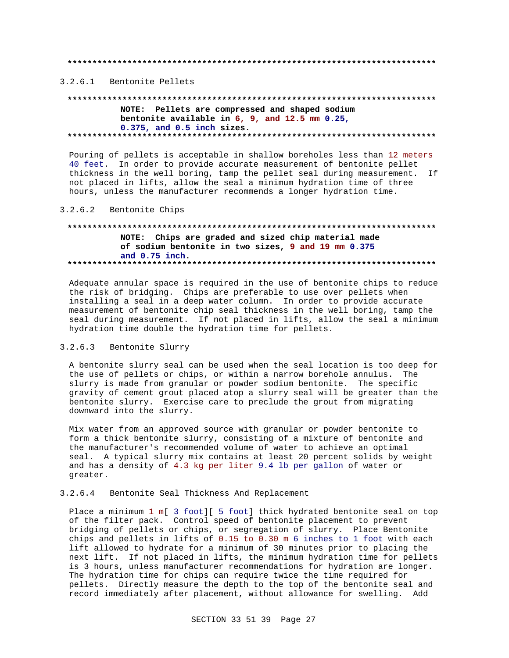............................

3.2.6.1 Bentonite Pellets

### NOTE: Pellets are compressed and shaped sodium bentonite available in 6, 9, and 12.5 mm 0.25,  $0.375$ , and  $0.5$  inch sizes.

Pouring of pellets is acceptable in shallow boreholes less than 12 meters 40 feet. In order to provide accurate measurement of bentonite pellet thickness in the well boring, tamp the pellet seal during measurement. If not placed in lifts, allow the seal a minimum hydration time of three hours, unless the manufacturer recommends a longer hydration time.

#### $3.2.6.2$ Bentonite Chips

# NOTE: Chips are graded and sized chip material made of sodium bentonite in two sizes, 9 and 19 mm 0.375 and 0.75 inch.

Adequate annular space is required in the use of bentonite chips to reduce the risk of bridging. Chips are preferable to use over pellets when installing a seal in a deep water column. In order to provide accurate measurement of bentonite chip seal thickness in the well boring, tamp the seal during measurement. If not placed in lifts, allow the seal a minimum hydration time double the hydration time for pellets.

### $3.2.6.3$ Bentonite Slurry

A bentonite slurry seal can be used when the seal location is too deep for the use of pellets or chips, or within a narrow borehole annulus. The slurry is made from granular or powder sodium bentonite. The specific gravity of cement grout placed atop a slurry seal will be greater than the bentonite slurry. Exercise care to preclude the grout from migrating downward into the slurry.

Mix water from an approved source with granular or powder bentonite to form a thick bentonite slurry, consisting of a mixture of bentonite and the manufacturer's recommended volume of water to achieve an optimal seal. A typical slurry mix contains at least 20 percent solids by weight and has a density of 4.3 kg per liter 9.4 lb per gallon of water or greater.

### $3.2.6.4$ Bentonite Seal Thickness And Replacement

Place a minimum 1 m[ 3 foot] [ 5 foot] thick hydrated bentonite seal on top of the filter pack. Control speed of bentonite placement to prevent bridging of pellets or chips, or segregation of slurry. Place Bentonite chips and pellets in lifts of 0.15 to 0.30 m 6 inches to 1 foot with each lift allowed to hydrate for a minimum of 30 minutes prior to placing the next lift. If not placed in lifts, the minimum hydration time for pellets is 3 hours, unless manufacturer recommendations for hydration are longer. The hydration time for chips can require twice the time required for pellets. Directly measure the depth to the top of the bentonite seal and record immediately after placement, without allowance for swelling. Add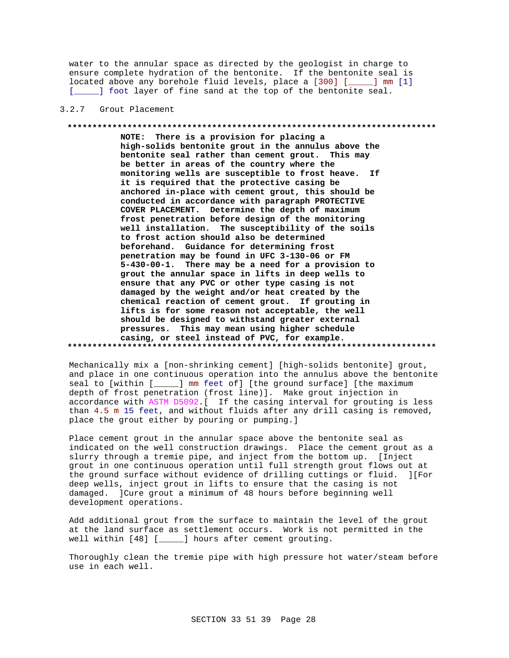water to the annular space as directed by the geologist in charge to ensure complete hydration of the bentonite. If the bentonite seal is located above any borehole fluid levels, place a [300] [\_\_\_\_\_] mm [1] [ \_\_\_\_ ] foot layer of fine sand at the top of the bentonite seal.

## 3.2.7 Grout Placement

### 

NOTE: There is a provision for placing a high-solids bentonite grout in the annulus above the bentonite seal rather than cement grout. This may be better in areas of the country where the monitoring wells are susceptible to frost heave. If it is required that the protective casing be anchored in-place with cement grout, this should be conducted in accordance with paragraph PROTECTIVE COVER PLACEMENT. Determine the depth of maximum frost penetration before design of the monitoring well installation. The susceptibility of the soils to frost action should also be determined beforehand. Guidance for determining frost penetration may be found in UFC 3-130-06 or FM 5-430-00-1. There may be a need for a provision to grout the annular space in lifts in deep wells to ensure that any PVC or other type casing is not damaged by the weight and/or heat created by the chemical reaction of cement grout. If grouting in lifts is for some reason not acceptable, the well should be designed to withstand greater external pressures. This may mean using higher schedule casing, or steel instead of PVC, for example. 

Mechanically mix a [non-shrinking cement] [high-solids bentonite] grout, and place in one continuous operation into the annulus above the bentonite seal to [within [\_\_\_\_\_] mm feet of] [the ground surface] [the maximum depth of frost penetration (frost line)]. Make grout injection in accordance with ASTM D5092. [ If the casing interval for grouting is less than 4.5 m 15 feet, and without fluids after any drill casing is removed, place the grout either by pouring or pumping.]

Place cement grout in the annular space above the bentonite seal as indicated on the well construction drawings. Place the cement grout as a slurry through a tremie pipe, and inject from the bottom up. [Inject grout in one continuous operation until full strength grout flows out at the ground surface without evidence of drilling cuttings or fluid. I[For deep wells, inject grout in lifts to ensure that the casing is not damaged. ] Cure grout a minimum of 48 hours before beginning well development operations.

Add additional grout from the surface to maintain the level of the grout at the land surface as settlement occurs. Work is not permitted in the well within [48] [\_\_\_\_\_] hours after cement grouting.

Thoroughly clean the tremie pipe with high pressure hot water/steam before use in each well.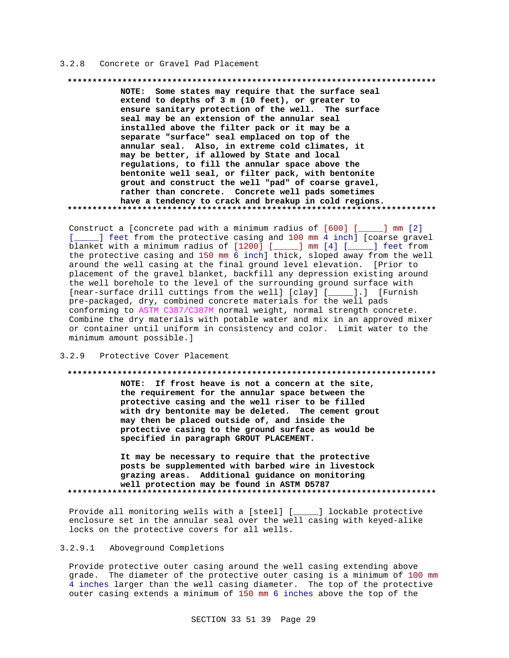#### $3.2.8$ Concrete or Gravel Pad Placement

### 

NOTE: Some states may require that the surface seal extend to depths of 3 m (10 feet), or greater to ensure sanitary protection of the well. The surface seal may be an extension of the annular seal installed above the filter pack or it may be a separate "surface" seal emplaced on top of the annular seal. Also, in extreme cold climates, it may be better, if allowed by State and local regulations, to fill the annular space above the bentonite well seal, or filter pack, with bentonite grout and construct the well "pad" of coarse gravel, rather than concrete. Concrete well pads sometimes have a tendency to crack and breakup in cold regions. 

Construct a [concrete pad with a minimum radius of [600] [ ] mm  $[2]$ [coarse gravel] [coarse traing in 100 mm 4 inch] [coarse gravel] L. blanket with a minimum radius of [1200] [\_\_\_\_] mm [4] [\_\_\_\_] feet from the protective casing and 150 mm 6 inch] thick, sloped away from the well around the well casing at the final ground level elevation. [Prior to placement of the gravel blanket, backfill any depression existing around the well borehole to the level of the surrounding ground surface with [near-surface drill cuttings from the well] [clay] [\_\_\_\_\_].] [Furnish pre-packaged, dry, combined concrete materials for the well pads conforming to ASTM C387/C387M normal weight, normal strength concrete. Combine the dry materials with potable water and mix in an approved mixer or container until uniform in consistency and color. Limit water to the minimum amount possible.]

### $3.2.9$ Protective Cover Placement

## 

NOTE: If frost heave is not a concern at the site, the requirement for the annular space between the protective casing and the well riser to be filled with dry bentonite may be deleted. The cement grout may then be placed outside of, and inside the protective casing to the ground surface as would be specified in paragraph GROUT PLACEMENT.

It may be necessary to require that the protective posts be supplemented with barbed wire in livestock grazing areas. Additional guidance on monitoring well protection may be found in ASTM D5787 

Provide all monitoring wells with a [steel] [\_\_\_\_] lockable protective enclosure set in the annular seal over the well casing with keyed-alike locks on the protective covers for all wells.

#### $3.2.9.1$ Aboveground Completions

Provide protective outer casing around the well casing extending above grade. The diameter of the protective outer casing is a minimum of 100 mm 4 inches larger than the well casing diameter. The top of the protective outer casing extends a minimum of 150 mm 6 inches above the top of the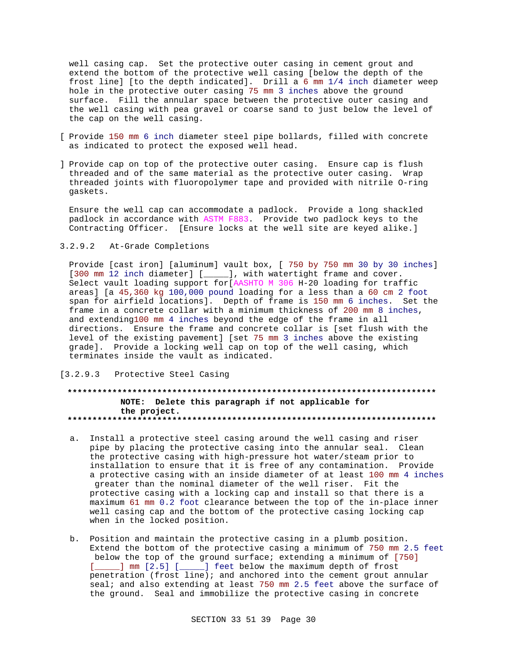well casing cap. Set the protective outer casing in cement grout and extend the bottom of the protective well casing [below the depth of the frost line] [to the depth indicated]. Drill a 6 mm 1/4 inch diameter weep hole in the protective outer casing 75 mm 3 inches above the ground surface. Fill the annular space between the protective outer casing and the well casing with pea gravel or coarse sand to just below the level of the cap on the well casing.

- [ Provide 150 mm 6 inch diameter steel pipe bollards, filled with concrete as indicated to protect the exposed well head.
- ] Provide cap on top of the protective outer casing. Ensure cap is flush threaded and of the same material as the protective outer casing. Wrap threaded joints with fluoropolymer tape and provided with nitrile O-ring gaskets.

Ensure the well cap can accommodate a padlock. Provide a long shackled padlock in accordance with ASTM F883. Provide two padlock keys to the Contracting Officer. [Ensure locks at the well site are keyed alike.]

# 3.2.9.2 At-Grade Completions

Provide [cast iron] [aluminum] vault box, [ 750 by 750 mm 30 by 30 inches] [300 mm 12 inch diameter] [\_\_\_\_\_], with watertight frame and cover. Select vault loading support for[AASHTO M 306 H-20 loading for traffic areas] [a 45,360 kg 100,000 pound loading for a less than a 60 cm 2 foot span for airfield locations]. Depth of frame is 150 mm 6 inches. Set the frame in a concrete collar with a minimum thickness of 200 mm 8 inches, and extending100 mm 4 inches beyond the edge of the frame in all directions. Ensure the frame and concrete collar is [set flush with the level of the existing pavement] [set 75 mm 3 inches above the existing grade]. Provide a locking well cap on top of the well casing, which terminates inside the vault as indicated.

## [3.2.9.3 Protective Steel Casing

# **\*\*\*\*\*\*\*\*\*\*\*\*\*\*\*\*\*\*\*\*\*\*\*\*\*\*\*\*\*\*\*\*\*\*\*\*\*\*\*\*\*\*\*\*\*\*\*\*\*\*\*\*\*\*\*\*\*\*\*\*\*\*\*\*\*\*\*\*\*\*\*\*\*\* NOTE: Delete this paragraph if not applicable for the project. \*\*\*\*\*\*\*\*\*\*\*\*\*\*\*\*\*\*\*\*\*\*\*\*\*\*\*\*\*\*\*\*\*\*\*\*\*\*\*\*\*\*\*\*\*\*\*\*\*\*\*\*\*\*\*\*\*\*\*\*\*\*\*\*\*\*\*\*\*\*\*\*\*\***

- a. Install a protective steel casing around the well casing and riser pipe by placing the protective casing into the annular seal. Clean the protective casing with high-pressure hot water/steam prior to installation to ensure that it is free of any contamination. Provide a protective casing with an inside diameter of at least 100 mm 4 inches greater than the nominal diameter of the well riser. Fit the protective casing with a locking cap and install so that there is a maximum 61 mm 0.2 foot clearance between the top of the in-place inner well casing cap and the bottom of the protective casing locking cap when in the locked position.
- b. Position and maintain the protective casing in a plumb position. Extend the bottom of the protective casing a minimum of 750 mm 2.5 feet below the top of the ground surface; extending a minimum of [750] [\_\_\_\_\_] mm [2.5] [\_\_\_\_\_] feet below the maximum depth of frost penetration (frost line); and anchored into the cement grout annular seal; and also extending at least 750 mm 2.5 feet above the surface of the ground. Seal and immobilize the protective casing in concrete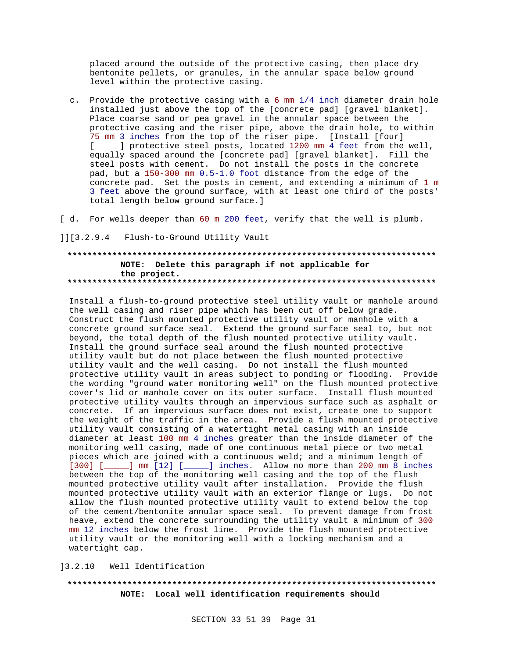placed around the outside of the protective casing, then place dry bentonite pellets, or granules, in the annular space below ground level within the protective casing.

- c. Provide the protective casing with a 6 mm 1/4 inch diameter drain hole installed just above the top of the [concrete pad] [gravel blanket]. Place coarse sand or pea gravel in the annular space between the protective casing and the riser pipe, above the drain hole, to within 75 mm 3 inches from the top of the riser pipe. [Install [four] [*\_\_\_\_*] protective steel posts, located 1200 mm 4 feet from the well, equally spaced around the [concrete pad] [gravel blanket]. Fill the steel posts with cement. Do not install the posts in the concrete pad, but a 150-300 mm 0.5-1.0 foot distance from the edge of the concrete pad. Set the posts in cement, and extending a minimum of 1 m 3 feet above the ground surface, with at least one third of the posts' total length below ground surface.]
- [ d. For wells deeper than 60 m 200 feet, verify that the well is plumb.

]][3.2.9.4 Flush-to-Ground Utility Vault

# **\*\*\*\*\*\*\*\*\*\*\*\*\*\*\*\*\*\*\*\*\*\*\*\*\*\*\*\*\*\*\*\*\*\*\*\*\*\*\*\*\*\*\*\*\*\*\*\*\*\*\*\*\*\*\*\*\*\*\*\*\*\*\*\*\*\*\*\*\*\*\*\*\*\* NOTE: Delete this paragraph if not applicable for the project. \*\*\*\*\*\*\*\*\*\*\*\*\*\*\*\*\*\*\*\*\*\*\*\*\*\*\*\*\*\*\*\*\*\*\*\*\*\*\*\*\*\*\*\*\*\*\*\*\*\*\*\*\*\*\*\*\*\*\*\*\*\*\*\*\*\*\*\*\*\*\*\*\*\***

Install a flush-to-ground protective steel utility vault or manhole around the well casing and riser pipe which has been cut off below grade. Construct the flush mounted protective utility vault or manhole with a concrete ground surface seal. Extend the ground surface seal to, but not beyond, the total depth of the flush mounted protective utility vault. Install the ground surface seal around the flush mounted protective utility vault but do not place between the flush mounted protective utility vault and the well casing. Do not install the flush mounted protective utility vault in areas subject to ponding or flooding. Provide the wording "ground water monitoring well" on the flush mounted protective cover's lid or manhole cover on its outer surface. Install flush mounted protective utility vaults through an impervious surface such as asphalt or concrete. If an impervious surface does not exist, create one to support the weight of the traffic in the area. Provide a flush mounted protective utility vault consisting of a watertight metal casing with an inside diameter at least 100 mm 4 inches greater than the inside diameter of the monitoring well casing, made of one continuous metal piece or two metal pieces which are joined with a continuous weld; and a minimum length of [300] [\_\_\_\_\_] mm [12] [\_\_\_\_] inches. Allow no more than 200 mm 8 inches between the top of the monitoring well casing and the top of the flush mounted protective utility vault after installation. Provide the flush mounted protective utility vault with an exterior flange or lugs. Do not allow the flush mounted protective utility vault to extend below the top of the cement/bentonite annular space seal. To prevent damage from frost heave, extend the concrete surrounding the utility vault a minimum of 300 mm 12 inches below the frost line. Provide the flush mounted protective utility vault or the monitoring well with a locking mechanism and a watertight cap.

]3.2.10 Well Identification

# **\*\*\*\*\*\*\*\*\*\*\*\*\*\*\*\*\*\*\*\*\*\*\*\*\*\*\*\*\*\*\*\*\*\*\*\*\*\*\*\*\*\*\*\*\*\*\*\*\*\*\*\*\*\*\*\*\*\*\*\*\*\*\*\*\*\*\*\*\*\*\*\*\*\* NOTE: Local well identification requirements should**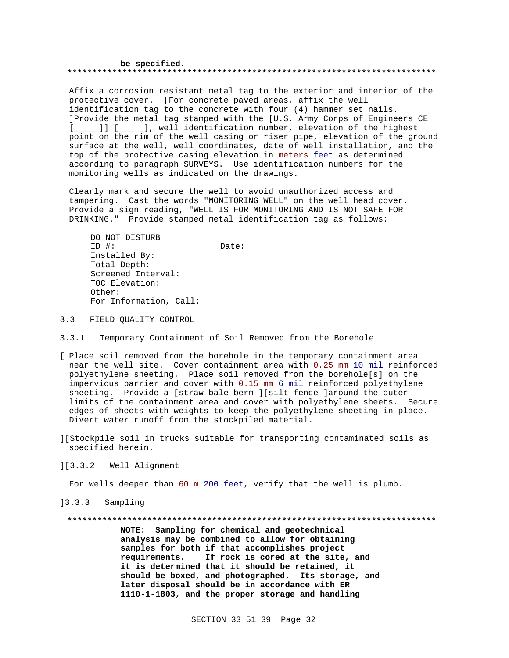### **be specified. \*\*\*\*\*\*\*\*\*\*\*\*\*\*\*\*\*\*\*\*\*\*\*\*\*\*\*\*\*\*\*\*\*\*\*\*\*\*\*\*\*\*\*\*\*\*\*\*\*\*\*\*\*\*\*\*\*\*\*\*\*\*\*\*\*\*\*\*\*\*\*\*\*\***

Affix a corrosion resistant metal tag to the exterior and interior of the protective cover. [For concrete paved areas, affix the well identification tag to the concrete with four (4) hammer set nails. ]Provide the metal tag stamped with the [U.S. Army Corps of Engineers CE [\_\_\_\_\_]] [\_\_\_\_\_], well identification number, elevation of the highest point on the rim of the well casing or riser pipe, elevation of the ground surface at the well, well coordinates, date of well installation, and the top of the protective casing elevation in meters feet as determined according to paragraph SURVEYS. Use identification numbers for the monitoring wells as indicated on the drawings.

Clearly mark and secure the well to avoid unauthorized access and tampering. Cast the words "MONITORING WELL" on the well head cover. Provide a sign reading, "WELL IS FOR MONITORING AND IS NOT SAFE FOR DRINKING." Provide stamped metal identification tag as follows:

DO NOT DISTURB ID #: Date: Installed By: Total Depth: Screened Interval: TOC Elevation: Other: For Information, Call:

- 3.3 FIELD QUALITY CONTROL
- 3.3.1 Temporary Containment of Soil Removed from the Borehole
- [ Place soil removed from the borehole in the temporary containment area near the well site. Cover containment area with 0.25 mm 10 mil reinforced polyethylene sheeting. Place soil removed from the borehole[s] on the impervious barrier and cover with 0.15 mm 6 mil reinforced polyethylene sheeting. Provide a [straw bale berm ][silt fence ]around the outer limits of the containment area and cover with polyethylene sheets. Secure edges of sheets with weights to keep the polyethylene sheeting in place. Divert water runoff from the stockpiled material.
- ][Stockpile soil in trucks suitable for transporting contaminated soils as specified herein.
- ][3.3.2 Well Alignment

For wells deeper than 60 m 200 feet, verify that the well is plumb.

]3.3.3 Sampling

### **\*\*\*\*\*\*\*\*\*\*\*\*\*\*\*\*\*\*\*\*\*\*\*\*\*\*\*\*\*\*\*\*\*\*\*\*\*\*\*\*\*\*\*\*\*\*\*\*\*\*\*\*\*\*\*\*\*\*\*\*\*\*\*\*\*\*\*\*\*\*\*\*\*\***

**NOTE: Sampling for chemical and geotechnical analysis may be combined to allow for obtaining samples for both if that accomplishes project requirements. If rock is cored at the site, and it is determined that it should be retained, it should be boxed, and photographed. Its storage, and later disposal should be in accordance with ER 1110-1-1803, and the proper storage and handling**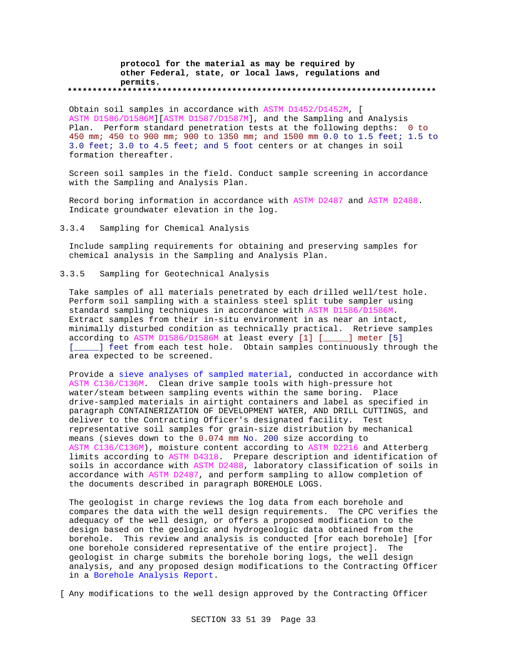## **protocol for the material as may be required by other Federal, state, or local laws, regulations and permits. \*\*\*\*\*\*\*\*\*\*\*\*\*\*\*\*\*\*\*\*\*\*\*\*\*\*\*\*\*\*\*\*\*\*\*\*\*\*\*\*\*\*\*\*\*\*\*\*\*\*\*\*\*\*\*\*\*\*\*\*\*\*\*\*\*\*\*\*\*\*\*\*\*\***

Obtain soil samples in accordance with ASTM D1452/D1452M, [ ASTM D1586/D1586M][ASTM D1587/D1587M], and the Sampling and Analysis Plan. Perform standard penetration tests at the following depths: 0 to 450 mm; 450 to 900 mm; 900 to 1350 mm; and 1500 mm 0.0 to 1.5 feet; 1.5 to 3.0 feet; 3.0 to 4.5 feet; and 5 foot centers or at changes in soil formation thereafter.

Screen soil samples in the field. Conduct sample screening in accordance with the Sampling and Analysis Plan.

Record boring information in accordance with ASTM D2487 and ASTM D2488. Indicate groundwater elevation in the log.

# 3.3.4 Sampling for Chemical Analysis

Include sampling requirements for obtaining and preserving samples for chemical analysis in the Sampling and Analysis Plan.

# 3.3.5 Sampling for Geotechnical Analysis

Take samples of all materials penetrated by each drilled well/test hole. Perform soil sampling with a stainless steel split tube sampler using standard sampling techniques in accordance with ASTM D1586/D1586M. Extract samples from their in-situ environment in as near an intact, minimally disturbed condition as technically practical. Retrieve samples according to ASTM D1586/D1586M at least every [1] [\_\_\_\_\_] meter [5] [\_\_\_\_\_] feet from each test hole. Obtain samples continuously through the area expected to be screened.

Provide a sieve analyses of sampled material, conducted in accordance with ASTM C136/C136M. Clean drive sample tools with high-pressure hot water/steam between sampling events within the same boring. Place drive-sampled materials in airtight containers and label as specified in paragraph CONTAINERIZATION OF DEVELOPMENT WATER, AND DRILL CUTTINGS, and deliver to the Contracting Officer's designated facility. Test representative soil samples for grain-size distribution by mechanical means (sieves down to the 0.074 mm No. 200 size according to ASTM C136/C136M), moisture content according to ASTM D2216 and Atterberg limits according to ASTM D4318. Prepare description and identification of soils in accordance with ASTM D2488, laboratory classification of soils in accordance with ASTM D2487, and perform sampling to allow completion of the documents described in paragraph BOREHOLE LOGS.

The geologist in charge reviews the log data from each borehole and compares the data with the well design requirements. The CPC verifies the adequacy of the well design, or offers a proposed modification to the design based on the geologic and hydrogeologic data obtained from the borehole. This review and analysis is conducted [for each borehole] [for one borehole considered representative of the entire project]. The geologist in charge submits the borehole boring logs, the well design analysis, and any proposed design modifications to the Contracting Officer in a Borehole Analysis Report.

[ Any modifications to the well design approved by the Contracting Officer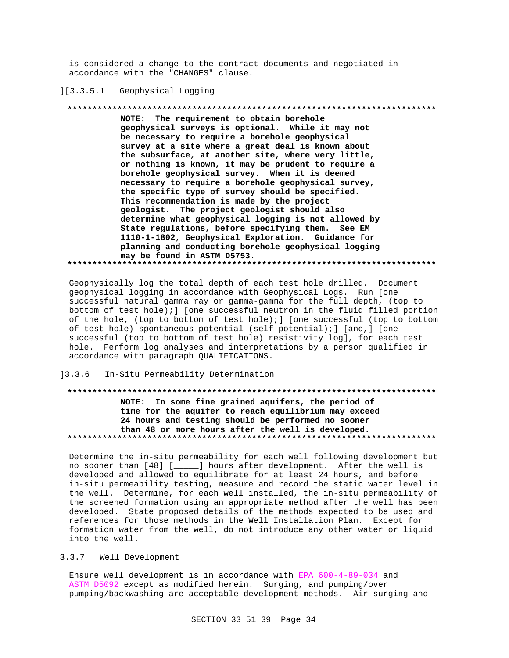is considered a change to the contract documents and negotiated in accordance with the "CHANGES" clause.

## ][3.3.5.1 Geophysical Logging

# **\*\*\*\*\*\*\*\*\*\*\*\*\*\*\*\*\*\*\*\*\*\*\*\*\*\*\*\*\*\*\*\*\*\*\*\*\*\*\*\*\*\*\*\*\*\*\*\*\*\*\*\*\*\*\*\*\*\*\*\*\*\*\*\*\*\*\*\*\*\*\*\*\*\***

**NOTE: The requirement to obtain borehole geophysical surveys is optional. While it may not be necessary to require a borehole geophysical survey at a site where a great deal is known about the subsurface, at another site, where very little, or nothing is known, it may be prudent to require a borehole geophysical survey. When it is deemed necessary to require a borehole geophysical survey, the specific type of survey should be specified. This recommendation is made by the project geologist. The project geologist should also determine what geophysical logging is not allowed by State regulations, before specifying them. See EM 1110-1-1802, Geophysical Exploration. Guidance for planning and conducting borehole geophysical logging may be found in ASTM D5753. \*\*\*\*\*\*\*\*\*\*\*\*\*\*\*\*\*\*\*\*\*\*\*\*\*\*\*\*\*\*\*\*\*\*\*\*\*\*\*\*\*\*\*\*\*\*\*\*\*\*\*\*\*\*\*\*\*\*\*\*\*\*\*\*\*\*\*\*\*\*\*\*\*\***

Geophysically log the total depth of each test hole drilled. Document geophysical logging in accordance with Geophysical Logs. Run [one successful natural gamma ray or gamma-gamma for the full depth, (top to bottom of test hole);] [one successful neutron in the fluid filled portion of the hole, (top to bottom of test hole);] [one successful (top to bottom of test hole) spontaneous potential (self-potential);] [and,] [one successful (top to bottom of test hole) resistivity log], for each test hole. Perform log analyses and interpretations by a person qualified in accordance with paragraph QUALIFICATIONS.

## ]3.3.6 In-Situ Permeability Determination

# **\*\*\*\*\*\*\*\*\*\*\*\*\*\*\*\*\*\*\*\*\*\*\*\*\*\*\*\*\*\*\*\*\*\*\*\*\*\*\*\*\*\*\*\*\*\*\*\*\*\*\*\*\*\*\*\*\*\*\*\*\*\*\*\*\*\*\*\*\*\*\*\*\*\* NOTE: In some fine grained aquifers, the period of time for the aquifer to reach equilibrium may exceed 24 hours and testing should be performed no sooner than 48 or more hours after the well is developed. \*\*\*\*\*\*\*\*\*\*\*\*\*\*\*\*\*\*\*\*\*\*\*\*\*\*\*\*\*\*\*\*\*\*\*\*\*\*\*\*\*\*\*\*\*\*\*\*\*\*\*\*\*\*\*\*\*\*\*\*\*\*\*\*\*\*\*\*\*\*\*\*\*\***

Determine the in-situ permeability for each well following development but no sooner than [48] [\_\_\_\_\_] hours after development. After the well is developed and allowed to equilibrate for at least 24 hours, and before in-situ permeability testing, measure and record the static water level in the well. Determine, for each well installed, the in-situ permeability of the screened formation using an appropriate method after the well has been developed. State proposed details of the methods expected to be used and references for those methods in the Well Installation Plan. Except for formation water from the well, do not introduce any other water or liquid into the well.

# 3.3.7 Well Development

Ensure well development is in accordance with EPA 600-4-89-034 and ASTM D5092 except as modified herein. Surging, and pumping/over pumping/backwashing are acceptable development methods. Air surging and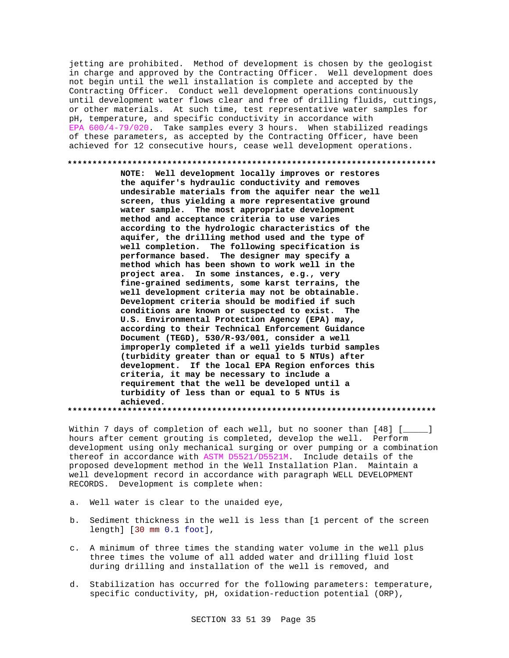jetting are prohibited. Method of development is chosen by the geologist in charge and approved by the Contracting Officer. Well development does not begin until the well installation is complete and accepted by the Contracting Officer. Conduct well development operations continuously until development water flows clear and free of drilling fluids, cuttings, or other materials. At such time, test representative water samples for pH, temperature, and specific conductivity in accordance with EPA 600/4-79/020. Take samples every 3 hours. When stabilized readings of these parameters, as accepted by the Contracting Officer, have been achieved for 12 consecutive hours, cease well development operations.

## **\*\*\*\*\*\*\*\*\*\*\*\*\*\*\*\*\*\*\*\*\*\*\*\*\*\*\*\*\*\*\*\*\*\*\*\*\*\*\*\*\*\*\*\*\*\*\*\*\*\*\*\*\*\*\*\*\*\*\*\*\*\*\*\*\*\*\*\*\*\*\*\*\*\***

**NOTE: Well development locally improves or restores the aquifer's hydraulic conductivity and removes undesirable materials from the aquifer near the well screen, thus yielding a more representative ground water sample. The most appropriate development method and acceptance criteria to use varies according to the hydrologic characteristics of the aquifer, the drilling method used and the type of well completion. The following specification is performance based. The designer may specify a method which has been shown to work well in the project area. In some instances, e.g., very fine-grained sediments, some karst terrains, the well development criteria may not be obtainable. Development criteria should be modified if such conditions are known or suspected to exist. The U.S. Environmental Protection Agency (EPA) may, according to their Technical Enforcement Guidance Document (TEGD), 530/R-93/001, consider a well improperly completed if a well yields turbid samples (turbidity greater than or equal to 5 NTUs) after development. If the local EPA Region enforces this criteria, it may be necessary to include a requirement that the well be developed until a turbidity of less than or equal to 5 NTUs is achieved. \*\*\*\*\*\*\*\*\*\*\*\*\*\*\*\*\*\*\*\*\*\*\*\*\*\*\*\*\*\*\*\*\*\*\*\*\*\*\*\*\*\*\*\*\*\*\*\*\*\*\*\*\*\*\*\*\*\*\*\*\*\*\*\*\*\*\*\*\*\*\*\*\*\***

Within 7 days of completion of each well, but no sooner than [48] [ hours after cement grouting is completed, develop the well. Perform development using only mechanical surging or over pumping or a combination thereof in accordance with ASTM D5521/D5521M. Include details of the proposed development method in the Well Installation Plan. Maintain a well development record in accordance with paragraph WELL DEVELOPMENT RECORDS. Development is complete when:

- a. Well water is clear to the unaided eye,
- b. Sediment thickness in the well is less than [1 percent of the screen length] [30 mm 0.1 foot],
- c. A minimum of three times the standing water volume in the well plus three times the volume of all added water and drilling fluid lost during drilling and installation of the well is removed, and
- d. Stabilization has occurred for the following parameters: temperature, specific conductivity, pH, oxidation-reduction potential (ORP),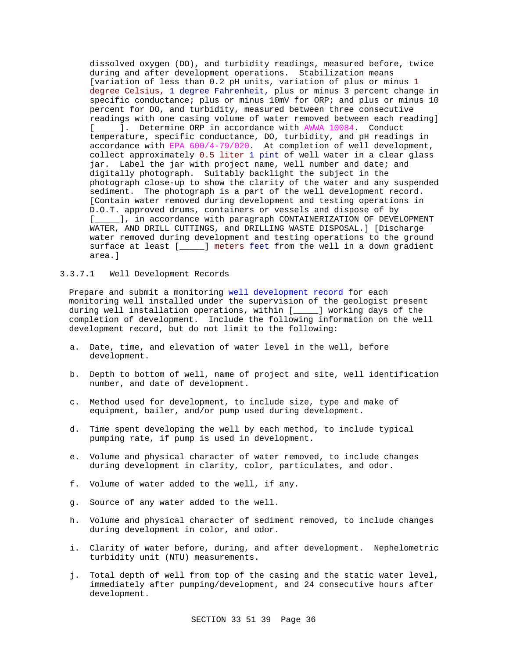dissolved oxygen (DO), and turbidity readings, measured before, twice during and after development operations. Stabilization means [variation of less than 0.2 pH units, variation of plus or minus 1 degree Celsius, 1 degree Fahrenheit, plus or minus 3 percent change in specific conductance; plus or minus 10mV for ORP; and plus or minus 10 percent for DO, and turbidity, measured between three consecutive readings with one casing volume of water removed between each reading] [\_\_\_\_\_]. Determine ORP in accordance with AWWA 10084. Conduct temperature, specific conductance, DO, turbidity, and pH readings in accordance with EPA 600/4-79/020. At completion of well development, collect approximately 0.5 liter 1 pint of well water in a clear glass jar. Label the jar with project name, well number and date; and digitally photograph. Suitably backlight the subject in the photograph close-up to show the clarity of the water and any suspended sediment. The photograph is a part of the well development record. [Contain water removed during development and testing operations in D.O.T. approved drums, containers or vessels and dispose of by [\_\_\_\_\_], in accordance with paragraph CONTAINERIZATION OF DEVELOPMENT WATER, AND DRILL CUTTINGS, and DRILLING WASTE DISPOSAL.] [Discharge water removed during development and testing operations to the ground surface at least [\_\_\_\_\_] meters feet from the well in a down gradient area.]

# 3.3.7.1 Well Development Records

Prepare and submit a monitoring well development record for each monitoring well installed under the supervision of the geologist present during well installation operations, within [\_\_\_\_\_] working days of the completion of development. Include the following information on the well development record, but do not limit to the following:

- a. Date, time, and elevation of water level in the well, before development.
- b. Depth to bottom of well, name of project and site, well identification number, and date of development.
- c. Method used for development, to include size, type and make of equipment, bailer, and/or pump used during development.
- d. Time spent developing the well by each method, to include typical pumping rate, if pump is used in development.
- e. Volume and physical character of water removed, to include changes during development in clarity, color, particulates, and odor.
- f. Volume of water added to the well, if any.
- g. Source of any water added to the well.
- h. Volume and physical character of sediment removed, to include changes during development in color, and odor.
- i. Clarity of water before, during, and after development. Nephelometric turbidity unit (NTU) measurements.
- j. Total depth of well from top of the casing and the static water level, immediately after pumping/development, and 24 consecutive hours after development.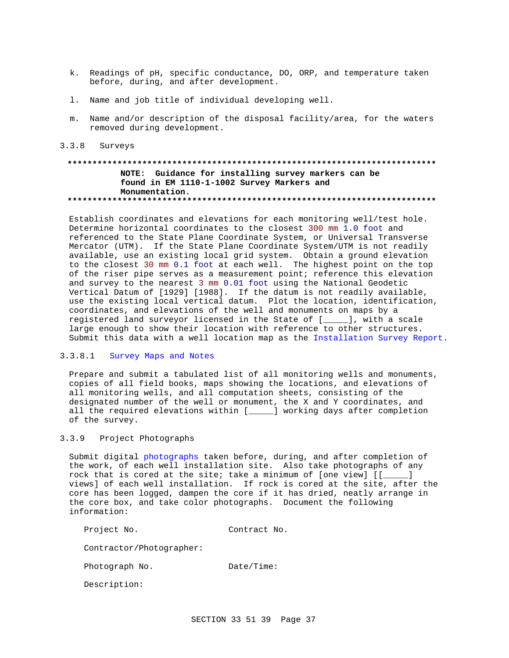- k. Readings of pH, specific conductance, DO, ORP, and temperature taken before, during, and after development.
- l. Name and job title of individual developing well.
- m. Name and/or description of the disposal facility/area, for the waters removed during development.
- 3.3.8 Surveys

# **\*\*\*\*\*\*\*\*\*\*\*\*\*\*\*\*\*\*\*\*\*\*\*\*\*\*\*\*\*\*\*\*\*\*\*\*\*\*\*\*\*\*\*\*\*\*\*\*\*\*\*\*\*\*\*\*\*\*\*\*\*\*\*\*\*\*\*\*\*\*\*\*\*\* NOTE: Guidance for installing survey markers can be found in EM 1110-1-1002 Survey Markers and Monumentation. \*\*\*\*\*\*\*\*\*\*\*\*\*\*\*\*\*\*\*\*\*\*\*\*\*\*\*\*\*\*\*\*\*\*\*\*\*\*\*\*\*\*\*\*\*\*\*\*\*\*\*\*\*\*\*\*\*\*\*\*\*\*\*\*\*\*\*\*\*\*\*\*\*\***

Establish coordinates and elevations for each monitoring well/test hole. Determine horizontal coordinates to the closest 300 mm 1.0 foot and referenced to the State Plane Coordinate System, or Universal Transverse Mercator (UTM). If the State Plane Coordinate System/UTM is not readily available, use an existing local grid system. Obtain a ground elevation to the closest 30 mm 0.1 foot at each well. The highest point on the top of the riser pipe serves as a measurement point; reference this elevation and survey to the nearest 3 mm 0.01 foot using the National Geodetic Vertical Datum of [1929] [1988]. If the datum is not readily available, use the existing local vertical datum. Plot the location, identification, coordinates, and elevations of the well and monuments on maps by a registered land surveyor licensed in the State of [\_\_\_\_\_], with a scale large enough to show their location with reference to other structures. Submit this data with a well location map as the Installation Survey Report.

# 3.3.8.1 Survey Maps and Notes

Prepare and submit a tabulated list of all monitoring wells and monuments, copies of all field books, maps showing the locations, and elevations of all monitoring wells, and all computation sheets, consisting of the designated number of the well or monument, the X and Y coordinates, and all the required elevations within [\_\_\_\_\_] working days after completion of the survey.

# 3.3.9 Project Photographs

Submit digital photographs taken before, during, and after completion of the work, of each well installation site. Also take photographs of any rock that is cored at the site; take a minimum of [one view] [[\_\_\_\_\_] views] of each well installation. If rock is cored at the site, after the core has been logged, dampen the core if it has dried, neatly arrange in the core box, and take color photographs. Document the following information:

Project No. 6. Contract No. Contractor/Photographer: Photograph No. Date/Time: Description: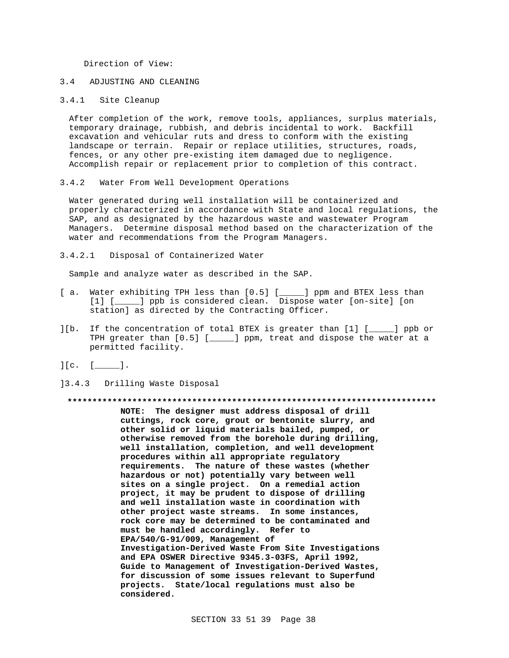Direction of View:

# 3.4 ADJUSTING AND CLEANING

## 3.4.1 Site Cleanup

After completion of the work, remove tools, appliances, surplus materials, temporary drainage, rubbish, and debris incidental to work. Backfill excavation and vehicular ruts and dress to conform with the existing landscape or terrain. Repair or replace utilities, structures, roads, fences, or any other pre-existing item damaged due to negligence. Accomplish repair or replacement prior to completion of this contract.

3.4.2 Water From Well Development Operations

Water generated during well installation will be containerized and properly characterized in accordance with State and local regulations, the SAP, and as designated by the hazardous waste and wastewater Program Managers. Determine disposal method based on the characterization of the water and recommendations from the Program Managers.

3.4.2.1 Disposal of Containerized Water

Sample and analyze water as described in the SAP.

- [ a. Water exhibiting TPH less than [0.5] [ \_\_\_\_\_ ] ppm and BTEX less than [1] [\_\_\_\_\_] ppb is considered clean. Dispose water [on-site] [on station] as directed by the Contracting Officer.
- ][b. If the concentration of total BTEX is greater than [1] [\_\_\_\_\_] ppb or TPH greater than [0.5] [\_\_\_\_\_] ppm, treat and dispose the water at a permitted facility.
- $] [c. [$

## ]3.4.3 Drilling Waste Disposal

### **\*\*\*\*\*\*\*\*\*\*\*\*\*\*\*\*\*\*\*\*\*\*\*\*\*\*\*\*\*\*\*\*\*\*\*\*\*\*\*\*\*\*\*\*\*\*\*\*\*\*\*\*\*\*\*\*\*\*\*\*\*\*\*\*\*\*\*\*\*\*\*\*\*\***

**NOTE: The designer must address disposal of drill cuttings, rock core, grout or bentonite slurry, and other solid or liquid materials bailed, pumped, or otherwise removed from the borehole during drilling, well installation, completion, and well development procedures within all appropriate regulatory requirements. The nature of these wastes (whether hazardous or not) potentially vary between well sites on a single project. On a remedial action project, it may be prudent to dispose of drilling and well installation waste in coordination with other project waste streams. In some instances, rock core may be determined to be contaminated and must be handled accordingly. Refer to EPA/540/G-91/009, Management of Investigation-Derived Waste From Site Investigations and EPA OSWER Directive 9345.3-03FS, April 1992, Guide to Management of Investigation-Derived Wastes, for discussion of some issues relevant to Superfund projects. State/local regulations must also be considered.**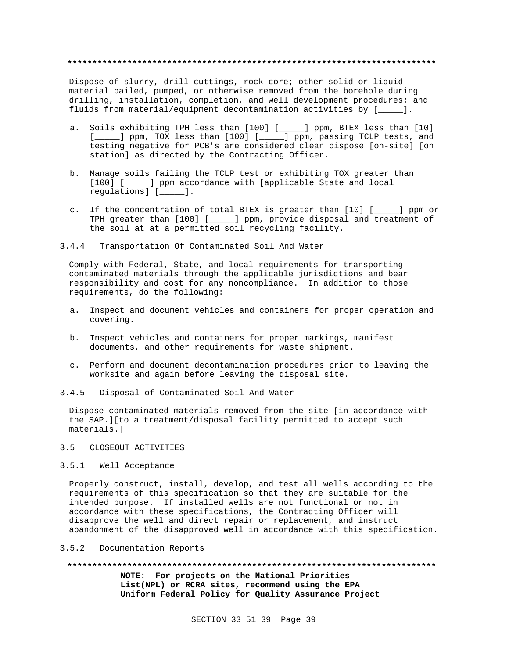# **\*\*\*\*\*\*\*\*\*\*\*\*\*\*\*\*\*\*\*\*\*\*\*\*\*\*\*\*\*\*\*\*\*\*\*\*\*\*\*\*\*\*\*\*\*\*\*\*\*\*\*\*\*\*\*\*\*\*\*\*\*\*\*\*\*\*\*\*\*\*\*\*\*\***

Dispose of slurry, drill cuttings, rock core; other solid or liquid material bailed, pumped, or otherwise removed from the borehole during drilling, installation, completion, and well development procedures; and fluids from material/equipment decontamination activities by [\_\_\_\_\_].

- a. Soils exhibiting TPH less than [100] [\_\_\_\_\_] ppm, BTEX less than [10] [\_\_\_\_\_] ppm, TOX less than [100] [\_\_\_\_\_] ppm, passing TCLP tests, and testing negative for PCB's are considered clean dispose [on-site] [on station] as directed by the Contracting Officer.
- b. Manage soils failing the TCLP test or exhibiting TOX greater than [100] [\_\_\_\_\_] ppm accordance with [applicable State and local regulations] [\_\_\_\_\_].
- c. If the concentration of total BTEX is greater than [10] [\_\_\_\_\_] ppm or TPH greater than [100] [\_\_\_\_\_] ppm, provide disposal and treatment of the soil at at a permitted soil recycling facility.
- 3.4.4 Transportation Of Contaminated Soil And Water

Comply with Federal, State, and local requirements for transporting contaminated materials through the applicable jurisdictions and bear responsibility and cost for any noncompliance. In addition to those requirements, do the following:

- a. Inspect and document vehicles and containers for proper operation and covering.
- b. Inspect vehicles and containers for proper markings, manifest documents, and other requirements for waste shipment.
- c. Perform and document decontamination procedures prior to leaving the worksite and again before leaving the disposal site.
- 3.4.5 Disposal of Contaminated Soil And Water

Dispose contaminated materials removed from the site [in accordance with the SAP.][to a treatment/disposal facility permitted to accept such materials.]

# 3.5 CLOSEOUT ACTIVITIES

## 3.5.1 Well Acceptance

Properly construct, install, develop, and test all wells according to the requirements of this specification so that they are suitable for the intended purpose. If installed wells are not functional or not in accordance with these specifications, the Contracting Officer will disapprove the well and direct repair or replacement, and instruct abandonment of the disapproved well in accordance with this specification.

## 3.5.2 Documentation Reports

**\*\*\*\*\*\*\*\*\*\*\*\*\*\*\*\*\*\*\*\*\*\*\*\*\*\*\*\*\*\*\*\*\*\*\*\*\*\*\*\*\*\*\*\*\*\*\*\*\*\*\*\*\*\*\*\*\*\*\*\*\*\*\*\*\*\*\*\*\*\*\*\*\*\* NOTE: For projects on the National Priorities List(NPL) or RCRA sites, recommend using the EPA Uniform Federal Policy for Quality Assurance Project**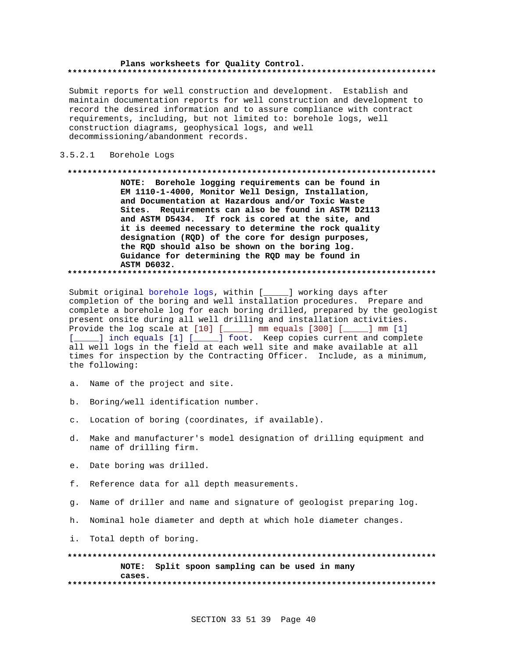## Plans worksheets for Quality Control.

Submit reports for well construction and development. Establish and maintain documentation reports for well construction and development to record the desired information and to assure compliance with contract requirements, including, but not limited to: borehole logs, well construction diagrams, geophysical logs, and well decommissioning/abandonment records.

#### $3.5.2.1$ Borehole Logs

### 

NOTE: Borehole logging requirements can be found in EM 1110-1-4000, Monitor Well Design, Installation, and Documentation at Hazardous and/or Toxic Waste Sites. Requirements can also be found in ASTM D2113 and ASTM D5434. If rock is cored at the site, and it is deemed necessary to determine the rock quality designation (RQD) of the core for design purposes, the RQD should also be shown on the boring log. Guidance for determining the RQD may be found in **ASTM D6032.** 

Submit original borehole logs, within [\_\_\_\_\_] working days after completion of the boring and well installation procedures. Prepare and complete a borehole log for each boring drilled, prepared by the geologist present onsite during all well drilling and installation activities. Provide the log scale at [10] [\_\_\_\_\_] mm equals [300] [\_\_\_\_\_] mm [1] [\_\_\_\_\_] inch equals [1] [\_\_\_\_\_] foot. Keep copies current and complete all well logs in the field at each well site and make available at all times for inspection by the Contracting Officer. Include, as a minimum, the following:

- a. Name of the project and site.
- b. Boring/well identification number.
- c. Location of boring (coordinates, if available).
- d. Make and manufacturer's model designation of drilling equipment and name of drilling firm.
- e. Date boring was drilled.
- f. Reference data for all depth measurements.
- g. Name of driller and name and signature of geologist preparing log.
- h. Nominal hole diameter and depth at which hole diameter changes.
- i. Total depth of boring.

# NOTE: Split spoon sampling can be used in many cases.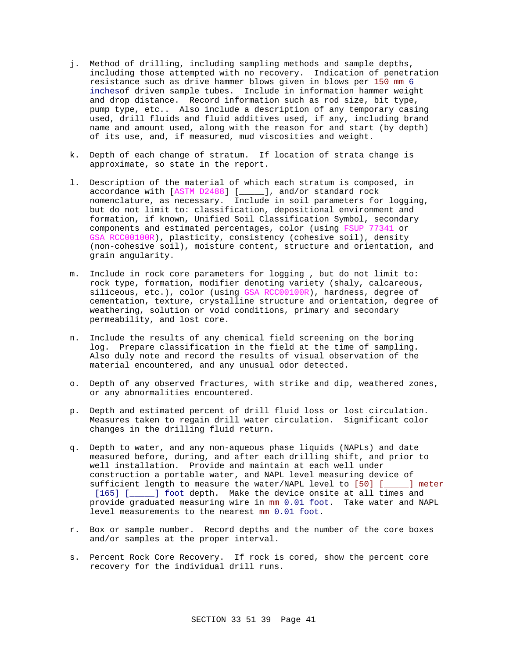- j. Method of drilling, including sampling methods and sample depths, including those attempted with no recovery. Indication of penetration resistance such as drive hammer blows given in blows per 150 mm 6 inchesof driven sample tubes. Include in information hammer weight and drop distance. Record information such as rod size, bit type, pump type, etc.. Also include a description of any temporary casing used, drill fluids and fluid additives used, if any, including brand name and amount used, along with the reason for and start (by depth) of its use, and, if measured, mud viscosities and weight.
- k. Depth of each change of stratum. If location of strata change is approximate, so state in the report.
- l. Description of the material of which each stratum is composed, in accordance with [ASTM D2488] [\_\_\_\_\_], and/or standard rock nomenclature, as necessary. Include in soil parameters for logging, but do not limit to: classification, depositional environment and formation, if known, Unified Soil Classification Symbol, secondary components and estimated percentages, color (using FSUP 77341 or GSA RCC00100R), plasticity, consistency (cohesive soil), density (non-cohesive soil), moisture content, structure and orientation, and grain angularity.
- m. Include in rock core parameters for logging , but do not limit to: rock type, formation, modifier denoting variety (shaly, calcareous, siliceous, etc.), color (using GSA RCC00100R), hardness, degree of cementation, texture, crystalline structure and orientation, degree of weathering, solution or void conditions, primary and secondary permeability, and lost core.
- n. Include the results of any chemical field screening on the boring log. Prepare classification in the field at the time of sampling. Also duly note and record the results of visual observation of the material encountered, and any unusual odor detected.
- o. Depth of any observed fractures, with strike and dip, weathered zones, or any abnormalities encountered.
- p. Depth and estimated percent of drill fluid loss or lost circulation. Measures taken to regain drill water circulation. Significant color changes in the drilling fluid return.
- q. Depth to water, and any non-aqueous phase liquids (NAPLs) and date measured before, during, and after each drilling shift, and prior to well installation. Provide and maintain at each well under construction a portable water, and NAPL level measuring device of sufficient length to measure the water/NAPL level to [50] [\_\_\_\_\_] meter [165] [\_\_\_\_\_] foot depth. Make the device onsite at all times and provide graduated measuring wire in mm 0.01 foot. Take water and NAPL level measurements to the nearest mm 0.01 foot.
- r. Box or sample number. Record depths and the number of the core boxes and/or samples at the proper interval.
- s. Percent Rock Core Recovery. If rock is cored, show the percent core recovery for the individual drill runs.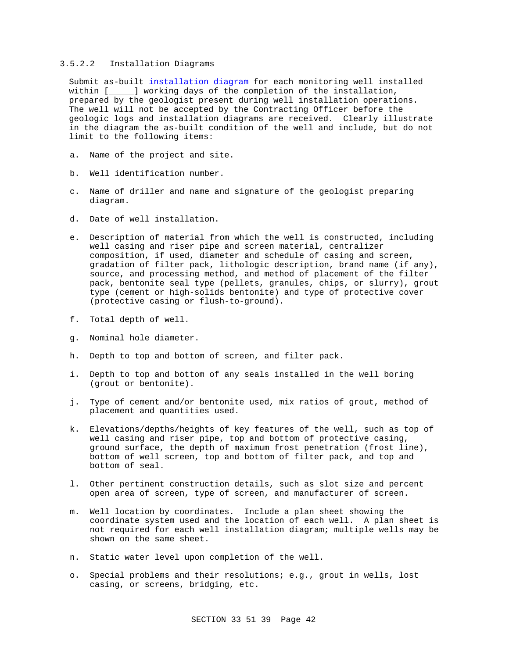# 3.5.2.2 Installation Diagrams

Submit as-built installation diagram for each monitoring well installed within [\_\_\_\_\_] working days of the completion of the installation, prepared by the geologist present during well installation operations. The well will not be accepted by the Contracting Officer before the geologic logs and installation diagrams are received. Clearly illustrate in the diagram the as-built condition of the well and include, but do not limit to the following items:

- a. Name of the project and site.
- b. Well identification number.
- c. Name of driller and name and signature of the geologist preparing diagram.
- d. Date of well installation.
- e. Description of material from which the well is constructed, including well casing and riser pipe and screen material, centralizer composition, if used, diameter and schedule of casing and screen, gradation of filter pack, lithologic description, brand name (if any), source, and processing method, and method of placement of the filter pack, bentonite seal type (pellets, granules, chips, or slurry), grout type (cement or high-solids bentonite) and type of protective cover (protective casing or flush-to-ground).
- f. Total depth of well.
- g. Nominal hole diameter.
- h. Depth to top and bottom of screen, and filter pack.
- i. Depth to top and bottom of any seals installed in the well boring (grout or bentonite).
- j. Type of cement and/or bentonite used, mix ratios of grout, method of placement and quantities used.
- k. Elevations/depths/heights of key features of the well, such as top of well casing and riser pipe, top and bottom of protective casing, ground surface, the depth of maximum frost penetration (frost line), bottom of well screen, top and bottom of filter pack, and top and bottom of seal.
- l. Other pertinent construction details, such as slot size and percent open area of screen, type of screen, and manufacturer of screen.
- m. Well location by coordinates. Include a plan sheet showing the coordinate system used and the location of each well. A plan sheet is not required for each well installation diagram; multiple wells may be shown on the same sheet.
- n. Static water level upon completion of the well.
- o. Special problems and their resolutions; e.g., grout in wells, lost casing, or screens, bridging, etc.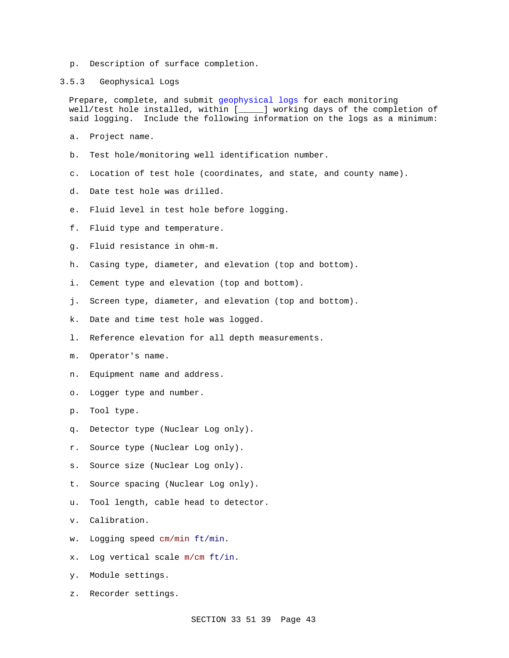- p. Description of surface completion.
- 3.5.3 Geophysical Logs

Prepare, complete, and submit geophysical logs for each monitoring well/test hole installed, within [\_\_\_\_\_] working days of the completion of said logging. Include the following information on the logs as a minimum:

- a. Project name.
- b. Test hole/monitoring well identification number.
- c. Location of test hole (coordinates, and state, and county name).
- d. Date test hole was drilled.
- e. Fluid level in test hole before logging.
- f. Fluid type and temperature.
- g. Fluid resistance in ohm-m.
- h. Casing type, diameter, and elevation (top and bottom).
- i. Cement type and elevation (top and bottom).
- j. Screen type, diameter, and elevation (top and bottom).
- k. Date and time test hole was logged.
- l. Reference elevation for all depth measurements.
- m. Operator's name.
- n. Equipment name and address.
- o. Logger type and number.
- p. Tool type.
- q. Detector type (Nuclear Log only).
- r. Source type (Nuclear Log only).
- s. Source size (Nuclear Log only).
- t. Source spacing (Nuclear Log only).
- u. Tool length, cable head to detector.
- v. Calibration.
- w. Logging speed cm/min ft/min.
- x. Log vertical scale m/cm ft/in.
- y. Module settings.
- z. Recorder settings.